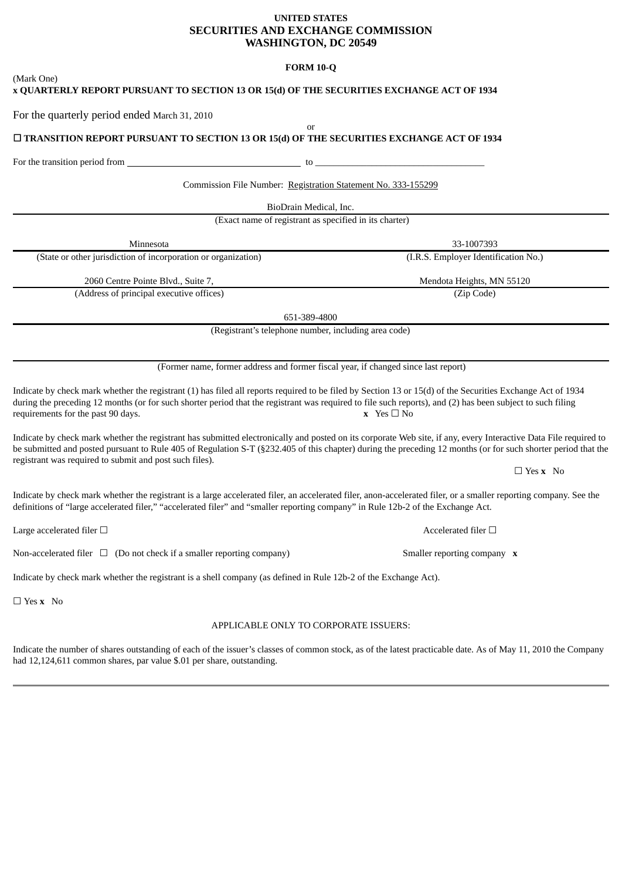# **UNITED STATES SECURITIES AND EXCHANGE COMMISSION WASHINGTON, DC 20549**

# **FORM 10-Q**

| (Mark One)<br>x QUARTERLY REPORT PURSUANT TO SECTION 13 OR 15(d) OF THE SECURITIES EXCHANGE ACT OF 1934                                                                                                                                                                                                                                                        |                                      |
|----------------------------------------------------------------------------------------------------------------------------------------------------------------------------------------------------------------------------------------------------------------------------------------------------------------------------------------------------------------|--------------------------------------|
| For the quarterly period ended March 31, 2010                                                                                                                                                                                                                                                                                                                  |                                      |
| or<br>□ TRANSITION REPORT PURSUANT TO SECTION 13 OR 15(d) OF THE SECURITIES EXCHANGE ACT OF 1934                                                                                                                                                                                                                                                               |                                      |
|                                                                                                                                                                                                                                                                                                                                                                |                                      |
| Commission File Number: Registration Statement No. 333-155299                                                                                                                                                                                                                                                                                                  |                                      |
| BioDrain Medical, Inc.                                                                                                                                                                                                                                                                                                                                         |                                      |
| (Exact name of registrant as specified in its charter)                                                                                                                                                                                                                                                                                                         |                                      |
| Minnesota                                                                                                                                                                                                                                                                                                                                                      | 33-1007393                           |
| (State or other jurisdiction of incorporation or organization)                                                                                                                                                                                                                                                                                                 | (I.R.S. Employer Identification No.) |
| 2060 Centre Pointe Blvd., Suite 7,                                                                                                                                                                                                                                                                                                                             | Mendota Heights, MN 55120            |
| (Address of principal executive offices)                                                                                                                                                                                                                                                                                                                       | (Zip Code)                           |
| 651-389-4800                                                                                                                                                                                                                                                                                                                                                   |                                      |
| (Registrant's telephone number, including area code)                                                                                                                                                                                                                                                                                                           |                                      |
| (Former name, former address and former fiscal year, if changed since last report)                                                                                                                                                                                                                                                                             |                                      |
| Indicate by check mark whether the registrant (1) has filed all reports required to be filed by Section 13 or 15(d) of the Securities Exchange Act of 1934<br>during the preceding 12 months (or for such shorter period that the registrant was required to file such reports), and (2) has been subject to such filing<br>requirements for the past 90 days. | $x$ Yes $\Box$ No                    |
| Indicate by check mark whether the registrant has submitted electronically and posted on its corporate Web site, if any, every Interactive Data File required to<br>be submitted and posted pursuant to Rule 405 of Regulation S-T (§232.405 of this chapter) during the preceding 12 months (or for such shorter period that the                              |                                      |
| registrant was required to submit and post such files).                                                                                                                                                                                                                                                                                                        | $\Box$ Yes x No                      |
| Indicate by check mark whether the registrant is a large accelerated filer, an accelerated filer, anon-accelerated filer, or a smaller reporting company. See the<br>definitions of "large accelerated filer," "accelerated filer" and "smaller reporting company" in Rule 12b-2 of the Exchange Act.                                                          |                                      |
| Large accelerated filer $\Box$                                                                                                                                                                                                                                                                                                                                 | Accelerated filer $\Box$             |
| Non-accelerated filer $\Box$ (Do not check if a smaller reporting company)                                                                                                                                                                                                                                                                                     | Smaller reporting company x          |
| Indicate by check mark whether the registrant is a shell company (as defined in Rule 12b-2 of the Exchange Act).                                                                                                                                                                                                                                               |                                      |
| $\Box$ Yes x No                                                                                                                                                                                                                                                                                                                                                |                                      |
| APPLICABLE ONLY TO CORPORATE ISSUERS:                                                                                                                                                                                                                                                                                                                          |                                      |
| Indicate the number of shares outstanding of each of the issuer's classes of common stock, as of the latest practicable date. As of May 11, 2010 the Company<br>had 12,124,611 common shares, par value \$.01 per share, outstanding.                                                                                                                          |                                      |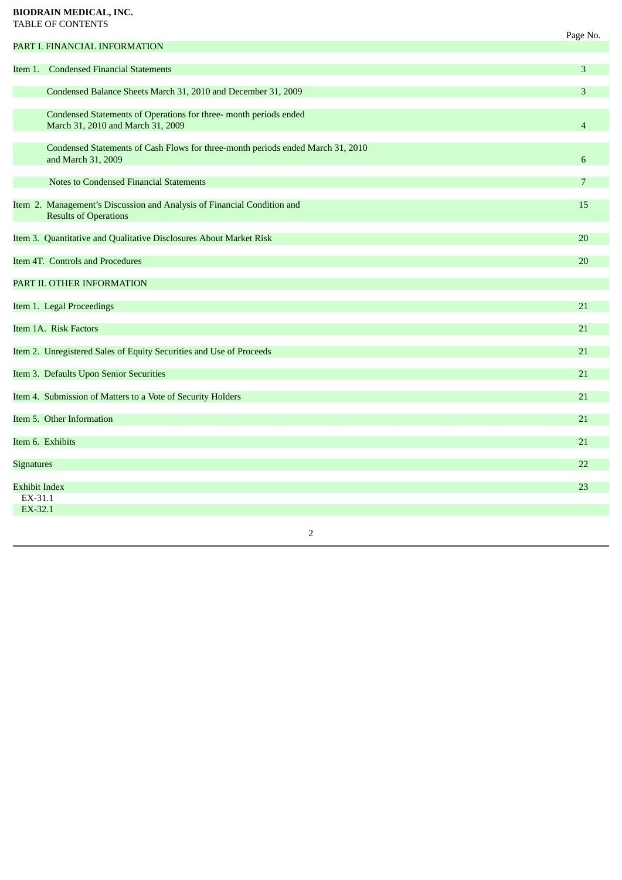# **BIODRAIN MEDICAL, INC.** TABLE OF CONTENTS

|                                            |                                                                                                         | Page No.        |
|--------------------------------------------|---------------------------------------------------------------------------------------------------------|-----------------|
|                                            | PART I. FINANCIAL INFORMATION                                                                           |                 |
|                                            | Item 1. Condensed Financial Statements                                                                  | 3               |
|                                            | Condensed Balance Sheets March 31, 2010 and December 31, 2009                                           | 3               |
|                                            | Condensed Statements of Operations for three- month periods ended<br>March 31, 2010 and March 31, 2009  | $\overline{4}$  |
|                                            | Condensed Statements of Cash Flows for three-month periods ended March 31, 2010<br>and March 31, 2009   | 6               |
|                                            | <b>Notes to Condensed Financial Statements</b>                                                          | $7\overline{ }$ |
|                                            | Item 2. Management's Discussion and Analysis of Financial Condition and<br><b>Results of Operations</b> | 15              |
|                                            | Item 3. Quantitative and Qualitative Disclosures About Market Risk                                      | 20              |
|                                            | Item 4T. Controls and Procedures                                                                        | 20              |
|                                            | PART II. OTHER INFORMATION                                                                              |                 |
|                                            | Item 1. Legal Proceedings                                                                               | 21              |
|                                            | Item 1A. Risk Factors                                                                                   | 21              |
|                                            | Item 2. Unregistered Sales of Equity Securities and Use of Proceeds                                     | 21              |
|                                            | Item 3. Defaults Upon Senior Securities                                                                 | 21              |
|                                            | Item 4. Submission of Matters to a Vote of Security Holders                                             | 21              |
|                                            | Item 5. Other Information                                                                               | 21              |
|                                            | Item 6. Exhibits                                                                                        | 21              |
| <b>Signatures</b>                          |                                                                                                         | 22              |
| <b>Exhibit Index</b><br>EX-31.1<br>EX-32.1 |                                                                                                         | 23              |
|                                            |                                                                                                         |                 |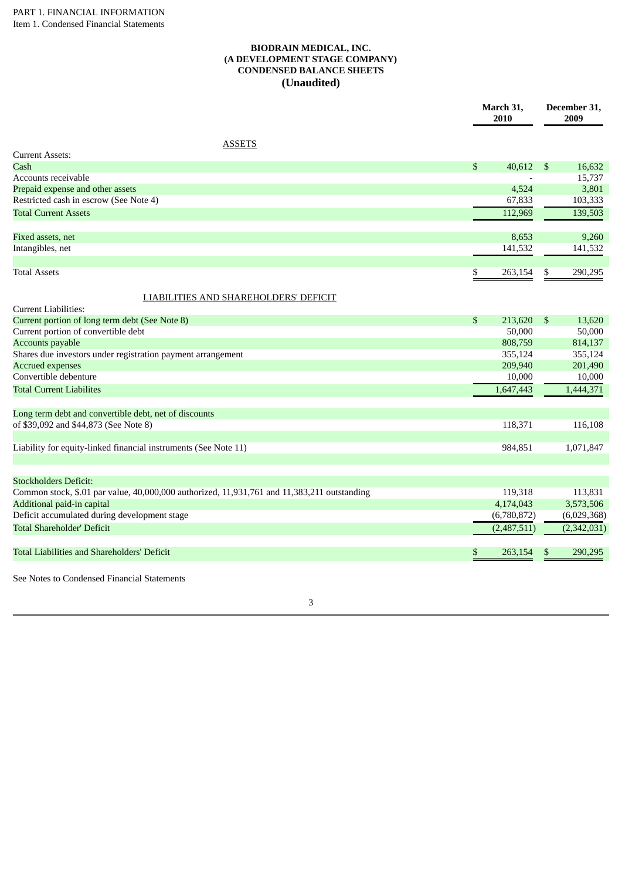### **BIODRAIN MEDICAL, INC. (A DEVELOPMENT STAGE COMPANY) CONDENSED BALANCE SHEETS (Unaudited)**

| <b>ASSETS</b><br>Current Assets:<br>\$<br>40,612<br>Cash<br>\$<br>16,632<br>Accounts receivable<br>15,737<br>Prepaid expense and other assets<br>4,524<br>3,801<br>Restricted cash in escrow (See Note 4)<br>67,833<br>103,333<br>139,503<br>112,969<br><b>Total Current Assets</b><br>9,260<br>Fixed assets, net<br>8,653<br>Intangibles, net<br>141,532<br>141,532<br><b>Total Assets</b><br>\$<br>263,154<br>\$<br>290,295<br><b>LIABILITIES AND SHAREHOLDERS' DEFICIT</b><br><b>Current Liabilities:</b><br>Current portion of long term debt (See Note 8)<br>\$<br>$\mathfrak{S}$<br>213,620<br>13,620<br>50,000<br>50,000<br>Current portion of convertible debt<br>808,759<br>814,137<br><b>Accounts payable</b><br>Shares due investors under registration payment arrangement<br>355,124<br>355,124<br>209,940<br>201,490<br><b>Accrued expenses</b><br>Convertible debenture<br>10,000<br>10,000<br><b>Total Current Liabilites</b><br>1,647,443<br>1,444,371<br>Long term debt and convertible debt, net of discounts<br>of \$39,092 and \$44,873 (See Note 8)<br>118,371<br>116,108<br>Liability for equity-linked financial instruments (See Note 11)<br>984,851<br>1,071,847<br><b>Stockholders Deficit:</b><br>Common stock, \$.01 par value, 40,000,000 authorized, 11,931,761 and 11,383,211 outstanding<br>119,318<br>113,831<br>Additional paid-in capital<br>3,573,506<br>4,174,043<br>Deficit accumulated during development stage<br>(6,780,872)<br>(6,029,368)<br>(2,342,031)<br><b>Total Shareholder' Deficit</b><br>(2,487,511)<br><b>Total Liabilities and Shareholders' Deficit</b><br>263,154<br>290,295<br>\$<br>\$ | March 31,<br>2010 |  | December 31,<br>2009 |  |
|--------------------------------------------------------------------------------------------------------------------------------------------------------------------------------------------------------------------------------------------------------------------------------------------------------------------------------------------------------------------------------------------------------------------------------------------------------------------------------------------------------------------------------------------------------------------------------------------------------------------------------------------------------------------------------------------------------------------------------------------------------------------------------------------------------------------------------------------------------------------------------------------------------------------------------------------------------------------------------------------------------------------------------------------------------------------------------------------------------------------------------------------------------------------------------------------------------------------------------------------------------------------------------------------------------------------------------------------------------------------------------------------------------------------------------------------------------------------------------------------------------------------------------------------------------------------------------------------------------------------------------------------------|-------------------|--|----------------------|--|
|                                                                                                                                                                                                                                                                                                                                                                                                                                                                                                                                                                                                                                                                                                                                                                                                                                                                                                                                                                                                                                                                                                                                                                                                                                                                                                                                                                                                                                                                                                                                                                                                                                                  |                   |  |                      |  |
|                                                                                                                                                                                                                                                                                                                                                                                                                                                                                                                                                                                                                                                                                                                                                                                                                                                                                                                                                                                                                                                                                                                                                                                                                                                                                                                                                                                                                                                                                                                                                                                                                                                  |                   |  |                      |  |
|                                                                                                                                                                                                                                                                                                                                                                                                                                                                                                                                                                                                                                                                                                                                                                                                                                                                                                                                                                                                                                                                                                                                                                                                                                                                                                                                                                                                                                                                                                                                                                                                                                                  |                   |  |                      |  |
|                                                                                                                                                                                                                                                                                                                                                                                                                                                                                                                                                                                                                                                                                                                                                                                                                                                                                                                                                                                                                                                                                                                                                                                                                                                                                                                                                                                                                                                                                                                                                                                                                                                  |                   |  |                      |  |
|                                                                                                                                                                                                                                                                                                                                                                                                                                                                                                                                                                                                                                                                                                                                                                                                                                                                                                                                                                                                                                                                                                                                                                                                                                                                                                                                                                                                                                                                                                                                                                                                                                                  |                   |  |                      |  |
|                                                                                                                                                                                                                                                                                                                                                                                                                                                                                                                                                                                                                                                                                                                                                                                                                                                                                                                                                                                                                                                                                                                                                                                                                                                                                                                                                                                                                                                                                                                                                                                                                                                  |                   |  |                      |  |
|                                                                                                                                                                                                                                                                                                                                                                                                                                                                                                                                                                                                                                                                                                                                                                                                                                                                                                                                                                                                                                                                                                                                                                                                                                                                                                                                                                                                                                                                                                                                                                                                                                                  |                   |  |                      |  |
|                                                                                                                                                                                                                                                                                                                                                                                                                                                                                                                                                                                                                                                                                                                                                                                                                                                                                                                                                                                                                                                                                                                                                                                                                                                                                                                                                                                                                                                                                                                                                                                                                                                  |                   |  |                      |  |
|                                                                                                                                                                                                                                                                                                                                                                                                                                                                                                                                                                                                                                                                                                                                                                                                                                                                                                                                                                                                                                                                                                                                                                                                                                                                                                                                                                                                                                                                                                                                                                                                                                                  |                   |  |                      |  |
|                                                                                                                                                                                                                                                                                                                                                                                                                                                                                                                                                                                                                                                                                                                                                                                                                                                                                                                                                                                                                                                                                                                                                                                                                                                                                                                                                                                                                                                                                                                                                                                                                                                  |                   |  |                      |  |
|                                                                                                                                                                                                                                                                                                                                                                                                                                                                                                                                                                                                                                                                                                                                                                                                                                                                                                                                                                                                                                                                                                                                                                                                                                                                                                                                                                                                                                                                                                                                                                                                                                                  |                   |  |                      |  |
|                                                                                                                                                                                                                                                                                                                                                                                                                                                                                                                                                                                                                                                                                                                                                                                                                                                                                                                                                                                                                                                                                                                                                                                                                                                                                                                                                                                                                                                                                                                                                                                                                                                  |                   |  |                      |  |
|                                                                                                                                                                                                                                                                                                                                                                                                                                                                                                                                                                                                                                                                                                                                                                                                                                                                                                                                                                                                                                                                                                                                                                                                                                                                                                                                                                                                                                                                                                                                                                                                                                                  |                   |  |                      |  |
|                                                                                                                                                                                                                                                                                                                                                                                                                                                                                                                                                                                                                                                                                                                                                                                                                                                                                                                                                                                                                                                                                                                                                                                                                                                                                                                                                                                                                                                                                                                                                                                                                                                  |                   |  |                      |  |
|                                                                                                                                                                                                                                                                                                                                                                                                                                                                                                                                                                                                                                                                                                                                                                                                                                                                                                                                                                                                                                                                                                                                                                                                                                                                                                                                                                                                                                                                                                                                                                                                                                                  |                   |  |                      |  |
|                                                                                                                                                                                                                                                                                                                                                                                                                                                                                                                                                                                                                                                                                                                                                                                                                                                                                                                                                                                                                                                                                                                                                                                                                                                                                                                                                                                                                                                                                                                                                                                                                                                  |                   |  |                      |  |
|                                                                                                                                                                                                                                                                                                                                                                                                                                                                                                                                                                                                                                                                                                                                                                                                                                                                                                                                                                                                                                                                                                                                                                                                                                                                                                                                                                                                                                                                                                                                                                                                                                                  |                   |  |                      |  |
|                                                                                                                                                                                                                                                                                                                                                                                                                                                                                                                                                                                                                                                                                                                                                                                                                                                                                                                                                                                                                                                                                                                                                                                                                                                                                                                                                                                                                                                                                                                                                                                                                                                  |                   |  |                      |  |
|                                                                                                                                                                                                                                                                                                                                                                                                                                                                                                                                                                                                                                                                                                                                                                                                                                                                                                                                                                                                                                                                                                                                                                                                                                                                                                                                                                                                                                                                                                                                                                                                                                                  |                   |  |                      |  |
|                                                                                                                                                                                                                                                                                                                                                                                                                                                                                                                                                                                                                                                                                                                                                                                                                                                                                                                                                                                                                                                                                                                                                                                                                                                                                                                                                                                                                                                                                                                                                                                                                                                  |                   |  |                      |  |
|                                                                                                                                                                                                                                                                                                                                                                                                                                                                                                                                                                                                                                                                                                                                                                                                                                                                                                                                                                                                                                                                                                                                                                                                                                                                                                                                                                                                                                                                                                                                                                                                                                                  |                   |  |                      |  |
|                                                                                                                                                                                                                                                                                                                                                                                                                                                                                                                                                                                                                                                                                                                                                                                                                                                                                                                                                                                                                                                                                                                                                                                                                                                                                                                                                                                                                                                                                                                                                                                                                                                  |                   |  |                      |  |
|                                                                                                                                                                                                                                                                                                                                                                                                                                                                                                                                                                                                                                                                                                                                                                                                                                                                                                                                                                                                                                                                                                                                                                                                                                                                                                                                                                                                                                                                                                                                                                                                                                                  |                   |  |                      |  |
|                                                                                                                                                                                                                                                                                                                                                                                                                                                                                                                                                                                                                                                                                                                                                                                                                                                                                                                                                                                                                                                                                                                                                                                                                                                                                                                                                                                                                                                                                                                                                                                                                                                  |                   |  |                      |  |
|                                                                                                                                                                                                                                                                                                                                                                                                                                                                                                                                                                                                                                                                                                                                                                                                                                                                                                                                                                                                                                                                                                                                                                                                                                                                                                                                                                                                                                                                                                                                                                                                                                                  |                   |  |                      |  |
|                                                                                                                                                                                                                                                                                                                                                                                                                                                                                                                                                                                                                                                                                                                                                                                                                                                                                                                                                                                                                                                                                                                                                                                                                                                                                                                                                                                                                                                                                                                                                                                                                                                  |                   |  |                      |  |
|                                                                                                                                                                                                                                                                                                                                                                                                                                                                                                                                                                                                                                                                                                                                                                                                                                                                                                                                                                                                                                                                                                                                                                                                                                                                                                                                                                                                                                                                                                                                                                                                                                                  |                   |  |                      |  |
|                                                                                                                                                                                                                                                                                                                                                                                                                                                                                                                                                                                                                                                                                                                                                                                                                                                                                                                                                                                                                                                                                                                                                                                                                                                                                                                                                                                                                                                                                                                                                                                                                                                  |                   |  |                      |  |

See Notes to Condensed Financial Statements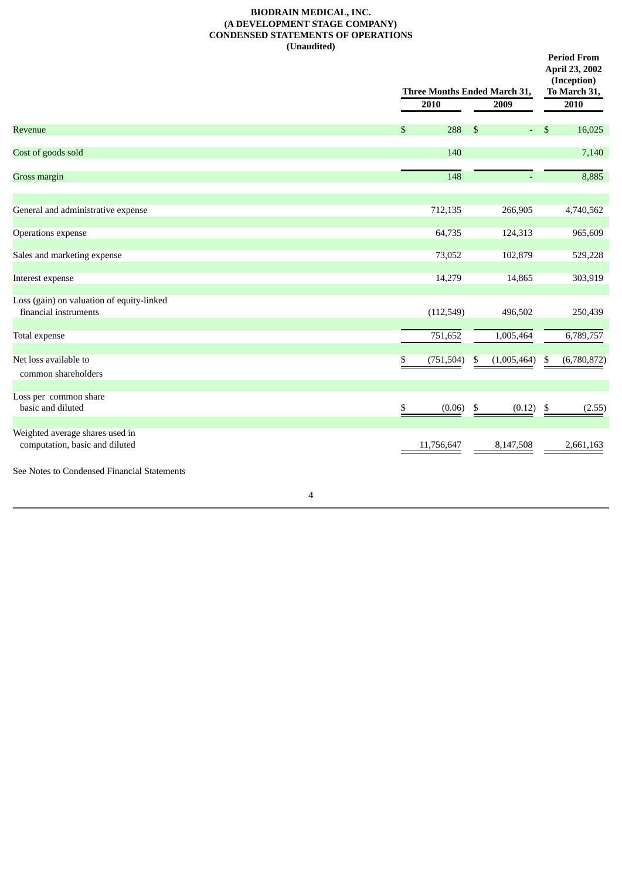### **BIODRAIN MEDICAL, INC. (A DEVELOPMENT STAGE COMPANY) CONDENSED STATEMENTS OF OPERATIONS (Unaudited)**

|                                                                    |                  | Three Months Ended March 31, |                   |  |  |  |
|--------------------------------------------------------------------|------------------|------------------------------|-------------------|--|--|--|
|                                                                    | 2010             | 2009                         |                   |  |  |  |
| Revenue                                                            | \$<br>288        | $\mathfrak{S}$<br>$\equiv$ . | \$<br>16,025      |  |  |  |
| Cost of goods sold                                                 | 140              |                              | 7,140             |  |  |  |
| <b>Gross margin</b>                                                | $\overline{148}$ |                              | 8,885             |  |  |  |
| General and administrative expense                                 | 712,135          | 266,905                      | 4,740,562         |  |  |  |
| Operations expense                                                 | 64,735           | 124,313                      | 965,609           |  |  |  |
| Sales and marketing expense                                        | 73,052           | 102,879                      | 529,228           |  |  |  |
| Interest expense                                                   | 14,279           | 14,865                       | 303,919           |  |  |  |
| Loss (gain) on valuation of equity-linked<br>financial instruments | (112, 549)       | 496,502                      | 250,439           |  |  |  |
| Total expense                                                      | 751,652          | 1,005,464                    | 6,789,757         |  |  |  |
| Net loss available to<br>common shareholders                       | (751, 504)<br>\$ | (1,005,464)<br>\$            | (6,780,872)<br>\$ |  |  |  |
| Loss per common share<br>basic and diluted                         | (0.06)<br>\$.    | (0.12)<br>$\frac{3}{2}$      | \$<br>(2.55)      |  |  |  |
| Weighted average shares used in<br>computation, basic and diluted  | 11,756,647       | 8,147,508                    | 2,661,163         |  |  |  |
| See Notes to Condensed Financial Statements                        |                  |                              |                   |  |  |  |
| 4                                                                  |                  |                              |                   |  |  |  |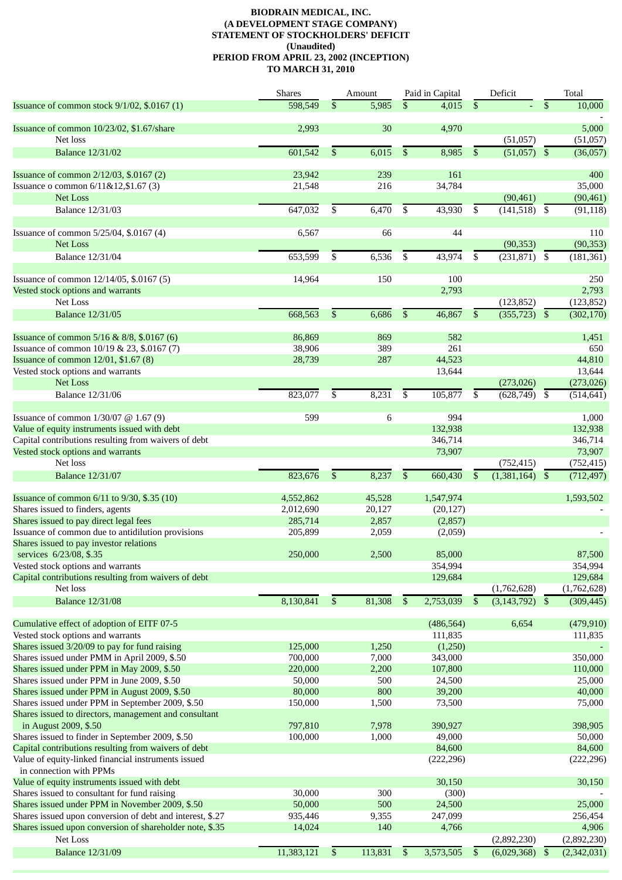### **BIODRAIN MEDICAL, INC. (A DEVELOPMENT STAGE COMPANY) STATEMENT OF STOCKHOLDERS' DEFICIT (Unaudited) PERIOD FROM APRIL 23, 2002 (INCEPTION) TO MARCH 31, 2010**

|                                                                                             | <b>Shares</b>      |                | Amount         |              | Paid in Capital    |              | Deficit       |                 | Total       |
|---------------------------------------------------------------------------------------------|--------------------|----------------|----------------|--------------|--------------------|--------------|---------------|-----------------|-------------|
| Issuance of common stock 9/1/02, \$.0167 (1)                                                | 598,549            | \$             | 5,985          | \$           | 4,015              | $\mathbb{S}$ |               | $\overline{\$}$ | 10,000      |
|                                                                                             |                    |                |                |              |                    |              |               |                 |             |
| Issuance of common 10/23/02, \$1.67/share                                                   | 2,993              |                | 30             |              | 4,970              |              |               |                 | 5,000       |
| Net loss                                                                                    |                    |                |                |              |                    |              | (51,057)      |                 | (51,057)    |
| <b>Balance 12/31/02</b>                                                                     | 601,542            | \$             | 6,015          | \$           | 8,985              | \$           | (51,057)      | $\mathfrak{S}$  | (36,057)    |
|                                                                                             |                    |                |                |              |                    |              |               |                 |             |
| Issuance of common 2/12/03, \$.0167 (2)                                                     | 23,942             |                | 239            |              | 161                |              |               |                 | 400         |
| Issuance o common 6/11&12,\$1.67 (3)<br><b>Net Loss</b>                                     | 21,548             |                | 216            |              | 34,784             |              |               |                 | 35,000      |
|                                                                                             |                    |                |                |              |                    |              | (90, 461)     |                 | (90, 461)   |
| <b>Balance 12/31/03</b>                                                                     | 647,032            | \$             | 6,470          | \$           | 43,930             | \$           | (141, 518)    | \$              | (91, 118)   |
| Issuance of common 5/25/04, \$.0167 (4)                                                     | 6,567              |                | 66             |              | 44                 |              |               |                 | 110         |
| <b>Net Loss</b>                                                                             |                    |                |                |              |                    |              | (90, 353)     |                 | (90, 353)   |
| <b>Balance 12/31/04</b>                                                                     | 653,599            | \$             | 6,536          | \$           | 43,974             | \$           | (231, 871)    | \$              | (181, 361)  |
|                                                                                             |                    |                |                |              |                    |              |               |                 |             |
| Issuance of common 12/14/05, \$.0167 (5)                                                    | 14,964             |                | 150            |              | 100                |              |               |                 | 250         |
| Vested stock options and warrants                                                           |                    |                |                |              | 2,793              |              |               |                 | 2,793       |
| <b>Net Loss</b>                                                                             |                    |                |                |              |                    |              | (123, 852)    |                 | (123, 852)  |
| <b>Balance 12/31/05</b>                                                                     | 668,563            | \$             | 6,686          | \$           | 46,867             | $\mathbb{S}$ | (355, 723)    | $\mathfrak{S}$  | (302, 170)  |
|                                                                                             |                    |                |                |              |                    |              |               |                 |             |
| Issuance of common 5/16 & 8/8, \$.0167 (6)                                                  | 86,869             |                | 869            |              | 582                |              |               |                 | 1,451       |
| Issuance of common 10/19 & 23, \$.0167 (7)                                                  | 38,906             |                | 389            |              | 261                |              |               |                 | 650         |
| Issuance of common 12/01, \$1.67 (8)                                                        | 28,739             |                | 287            |              | 44,523             |              |               |                 | 44,810      |
| Vested stock options and warrants                                                           |                    |                |                |              | 13,644             |              |               |                 | 13,644      |
| <b>Net Loss</b>                                                                             |                    |                |                |              |                    |              | (273, 026)    |                 | (273, 026)  |
| <b>Balance 12/31/06</b>                                                                     | 823,077            | \$             | 8,231          | \$           | 105,877            | \$           | (628, 749)    | \$              | (514, 641)  |
|                                                                                             |                    |                |                |              |                    |              |               |                 |             |
| Issuance of common 1/30/07 @ 1.67 (9)                                                       | 599                |                | 6              |              | 994                |              |               |                 | 1,000       |
| Value of equity instruments issued with debt                                                |                    |                |                |              | 132,938            |              |               |                 | 132,938     |
| Capital contributions resulting from waivers of debt                                        |                    |                |                |              | 346,714            |              |               |                 | 346,714     |
| Vested stock options and warrants                                                           |                    |                |                |              | 73,907             |              |               |                 | 73,907      |
| Net loss                                                                                    |                    |                |                |              |                    |              | (752, 415)    |                 | (752, 415)  |
| <b>Balance 12/31/07</b>                                                                     | 823,676            | \$             | 8,237          | \$           | 660,430            | \$           | (1,381,164)   | \$              | (712, 497)  |
|                                                                                             |                    |                |                |              |                    |              |               |                 |             |
| Issuance of common 6/11 to 9/30, \$.35 (10)                                                 | 4,552,862          |                | 45,528         |              | 1,547,974          |              |               |                 | 1,593,502   |
| Shares issued to finders, agents                                                            | 2,012,690          |                | 20,127         |              | (20, 127)          |              |               |                 |             |
| Shares issued to pay direct legal fees<br>Issuance of common due to antidilution provisions | 285,714<br>205,899 |                | 2,857<br>2,059 |              | (2,857)<br>(2,059) |              |               |                 |             |
| Shares issued to pay investor relations                                                     |                    |                |                |              |                    |              |               |                 |             |
| services 6/23/08, \$.35                                                                     | 250,000            |                | 2.500          |              | 85,000             |              |               |                 | 87,500      |
| Vested stock options and warrants                                                           |                    |                |                |              | 354,994            |              |               |                 | 354,994     |
| Capital contributions resulting from waivers of debt                                        |                    |                |                |              | 129,684            |              |               |                 | 129,684     |
| Net loss                                                                                    |                    |                |                |              |                    |              | (1,762,628)   |                 | (1,762,628) |
| <b>Balance 12/31/08</b>                                                                     | 8,130,841          | $\mathfrak{S}$ | 81,308         | $\mathbb{S}$ | 2,753,039          | $\mathbb{S}$ | (3, 143, 792) | $\mathfrak{S}$  | (309, 445)  |
|                                                                                             |                    |                |                |              |                    |              |               |                 |             |
| Cumulative effect of adoption of EITF 07-5                                                  |                    |                |                |              | (486, 564)         |              | 6,654         |                 | (479, 910)  |
| Vested stock options and warrants                                                           |                    |                |                |              | 111,835            |              |               |                 | 111,835     |
| Shares issued 3/20/09 to pay for fund raising                                               | 125,000            |                | 1,250          |              | (1,250)            |              |               |                 |             |
| Shares issued under PMM in April 2009, \$.50                                                | 700,000            |                | 7,000          |              | 343,000            |              |               |                 | 350,000     |
| Shares issued under PPM in May 2009, \$.50                                                  | 220,000            |                | 2,200          |              | 107,800            |              |               |                 | 110,000     |
| Shares issued under PPM in June 2009, \$.50                                                 | 50,000             |                | 500            |              | 24,500             |              |               |                 | 25,000      |
| Shares issued under PPM in August 2009, \$.50                                               | 80,000             |                | 800            |              | 39,200             |              |               |                 | 40,000      |
| Shares issued under PPM in September 2009, \$.50                                            | 150,000            |                | 1,500          |              | 73,500             |              |               |                 | 75,000      |
| Shares issued to directors, management and consultant                                       |                    |                |                |              |                    |              |               |                 |             |
| in August 2009, \$.50                                                                       | 797,810            |                | 7,978          |              | 390,927            |              |               |                 | 398,905     |
| Shares issued to finder in September 2009, \$.50                                            | 100,000            |                | 1,000          |              | 49,000             |              |               |                 | 50,000      |
| Capital contributions resulting from waivers of debt                                        |                    |                |                |              | 84,600             |              |               |                 | 84,600      |
| Value of equity-linked financial instruments issued<br>in connection with PPMs              |                    |                |                |              | (222, 296)         |              |               |                 | (222, 296)  |
| Value of equity instruments issued with debt                                                |                    |                |                |              | 30,150             |              |               |                 | 30,150      |
| Shares issued to consultant for fund raising                                                | 30,000             |                | 300            |              | (300)              |              |               |                 |             |
| Shares issued under PPM in November 2009, \$.50                                             | 50,000             |                | 500            |              | 24,500             |              |               |                 | 25,000      |
| Shares issued upon conversion of debt and interest, \$.27                                   | 935,446            |                | 9,355          |              | 247,099            |              |               |                 | 256,454     |
| Shares issued upon conversion of shareholder note, \$.35                                    | 14,024             |                | 140            |              | 4,766              |              |               |                 | 4,906       |
| Net Loss                                                                                    |                    |                |                |              |                    |              | (2,892,230)   |                 | (2,892,230) |
|                                                                                             |                    |                |                |              |                    |              |               |                 |             |
| <b>Balance 12/31/09</b>                                                                     | 11,383,121         | \$             | 113,831        | \$           | 3,573,505          | \$           | (6,029,368)   | <sup>\$</sup>   | (2,342,031) |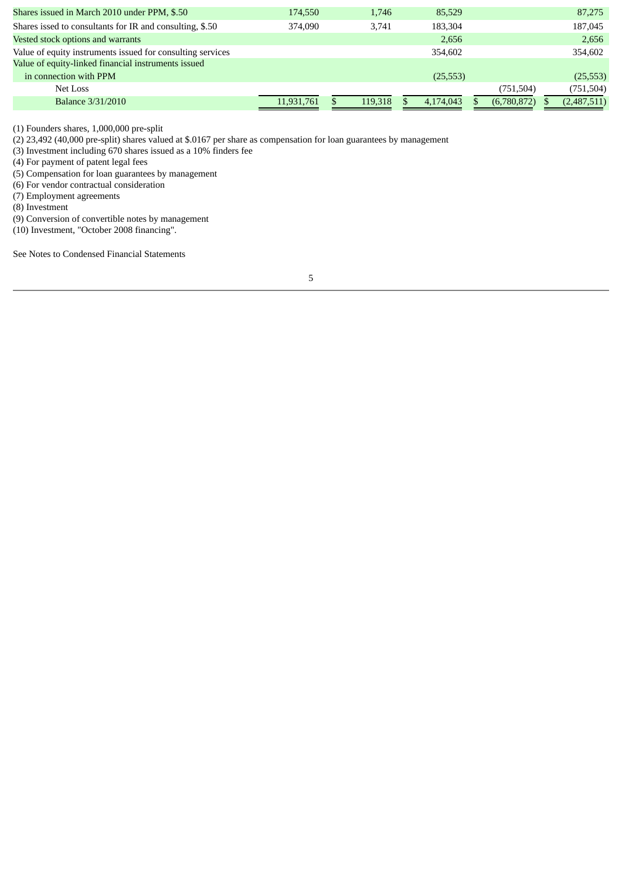| Shares issued in March 2010 under PPM, \$.50               | 174,550    | 1,746   | 85,529    |             | 87,275      |
|------------------------------------------------------------|------------|---------|-----------|-------------|-------------|
| Shares issed to consultants for IR and consulting, \$.50   | 374,090    | 3.741   | 183,304   |             | 187,045     |
| Vested stock options and warrants                          |            |         | 2,656     |             | 2,656       |
| Value of equity instruments issued for consulting services |            |         | 354,602   |             | 354,602     |
| Value of equity-linked financial instruments issued        |            |         |           |             |             |
| in connection with PPM                                     |            |         | (25,553)  |             | (25, 553)   |
| Net Loss                                                   |            |         |           | (751, 504)  | (751, 504)  |
| <b>Balance 3/31/2010</b>                                   | 11.931.761 | 119,318 | 4.174.043 | (6,780,872) | (2,487,511) |
|                                                            |            |         |           |             |             |

(1) Founders shares, 1,000,000 pre-split

(2) 23,492 (40,000 pre-split) shares valued at \$.0167 per share as compensation for loan guarantees by management

(3) Investment including 670 shares issued as a 10% finders fee

(4) For payment of patent legal fees

(5) Compensation for loan guarantees by management

(6) For vendor contractual consideration

(7) Employment agreements

(8) Investment

(9) Conversion of convertible notes by management

(10) Investment, "October 2008 financing".

See Notes to Condensed Financial Statements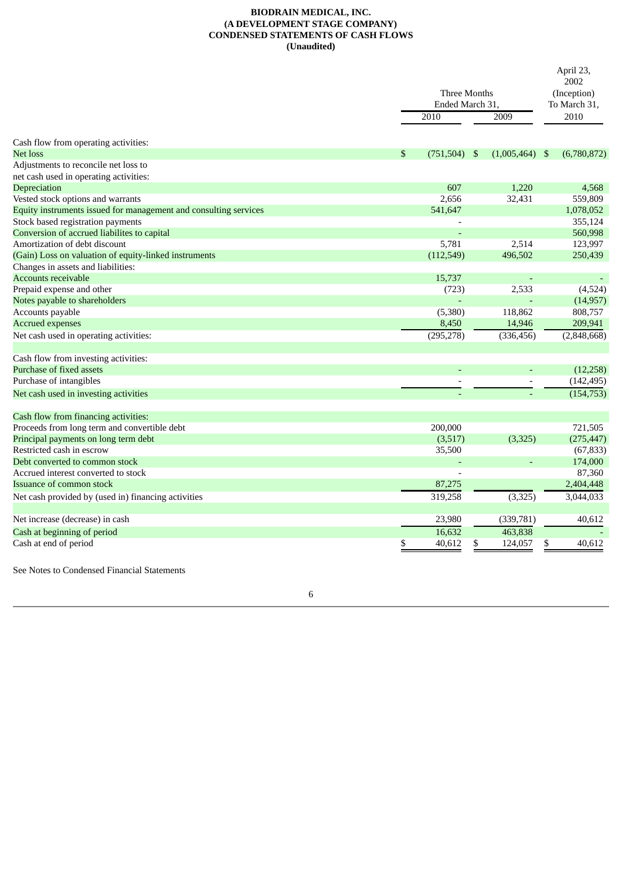### **BIODRAIN MEDICAL, INC. (A DEVELOPMENT STAGE COMPANY) CONDENSED STATEMENTS OF CASH FLOWS (Unaudited)**

|                                                                  | Three Months<br>Ended March 31, |    |                          |    | April 23,<br>2002<br>(Inception)<br>To March 31, |
|------------------------------------------------------------------|---------------------------------|----|--------------------------|----|--------------------------------------------------|
|                                                                  | 2010                            |    | 2009                     |    | 2010                                             |
| Cash flow from operating activities:                             |                                 |    |                          |    |                                                  |
| Net loss                                                         | \$<br>$(751,504)$ \$            |    | $(1,005,464)$ \$         |    | (6,780,872)                                      |
| Adjustments to reconcile net loss to                             |                                 |    |                          |    |                                                  |
| net cash used in operating activities:                           |                                 |    |                          |    |                                                  |
| Depreciation                                                     | 607                             |    | 1,220                    |    | 4,568                                            |
| Vested stock options and warrants                                | 2,656                           |    | 32,431                   |    | 559,809                                          |
| Equity instruments issued for management and consulting services | 541,647                         |    |                          |    | 1,078,052                                        |
| Stock based registration payments                                |                                 |    |                          |    | 355,124                                          |
| Conversion of accrued liabilites to capital                      |                                 |    |                          |    | 560,998                                          |
| Amortization of debt discount                                    | 5,781                           |    | 2,514                    |    | 123,997                                          |
| (Gain) Loss on valuation of equity-linked instruments            | (112, 549)                      |    | 496,502                  |    | 250,439                                          |
| Changes in assets and liabilities:                               |                                 |    |                          |    |                                                  |
| <b>Accounts receivable</b>                                       | 15,737                          |    |                          |    |                                                  |
| Prepaid expense and other                                        | (723)                           |    | 2,533                    |    | (4,524)                                          |
| Notes payable to shareholders                                    |                                 |    |                          |    | (14, 957)                                        |
| Accounts payable                                                 | (5,380)                         |    | 118,862                  |    | 808,757                                          |
| <b>Accrued expenses</b>                                          | 8,450                           |    | 14,946                   |    | 209,941                                          |
| Net cash used in operating activities:                           | (295, 278)                      |    | (336, 456)               |    | (2,848,668)                                      |
| Cash flow from investing activities:                             |                                 |    |                          |    |                                                  |
| Purchase of fixed assets                                         |                                 |    |                          |    | (12, 258)                                        |
| Purchase of intangibles                                          |                                 |    | $\overline{\phantom{a}}$ |    | (142, 495)                                       |
| Net cash used in investing activities                            |                                 |    |                          |    | (154, 753)                                       |
| Cash flow from financing activities:                             |                                 |    |                          |    |                                                  |
| Proceeds from long term and convertible debt                     | 200,000                         |    |                          |    | 721,505                                          |
| Principal payments on long term debt                             | (3,517)                         |    | (3, 325)                 |    | (275, 447)                                       |
| Restricted cash in escrow                                        | 35,500                          |    |                          |    | (67, 833)                                        |
| Debt converted to common stock                                   |                                 |    |                          |    | 174,000                                          |
| Accrued interest converted to stock                              |                                 |    |                          |    | 87,360                                           |
| Issuance of common stock                                         | 87,275                          |    |                          |    | 2,404,448                                        |
| Net cash provided by (used in) financing activities              | 319,258                         |    | (3, 325)                 |    | 3,044,033                                        |
| Net increase (decrease) in cash                                  | 23,980                          |    | (339, 781)               |    | 40,612                                           |
| Cash at beginning of period                                      | 16,632                          |    | 463,838                  |    |                                                  |
| Cash at end of period                                            | \$<br>40,612                    | \$ | 124,057                  | \$ | 40,612                                           |

See Notes to Condensed Financial Statements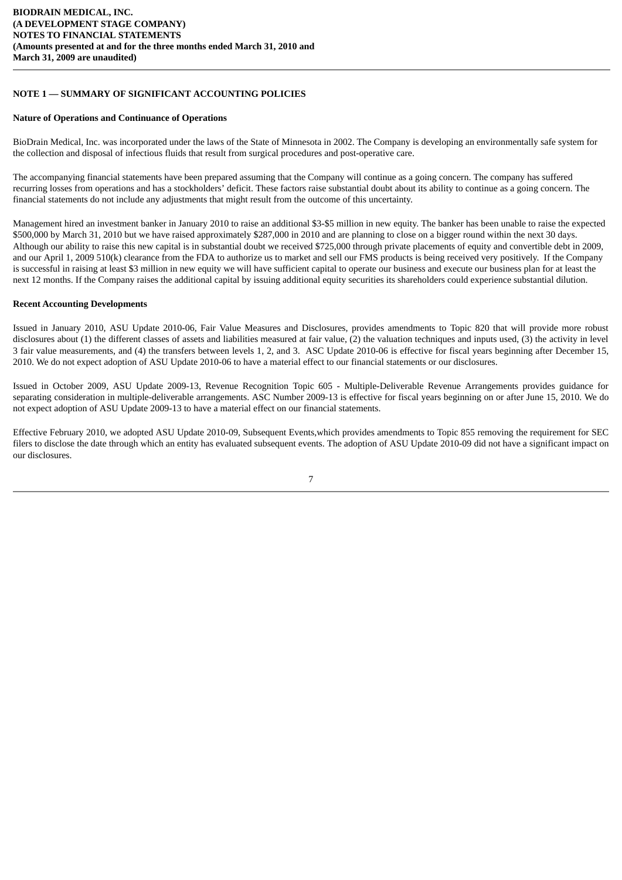### **NOTE 1 — SUMMARY OF SIGNIFICANT ACCOUNTING POLICIES**

### **Nature of Operations and Continuance of Operations**

BioDrain Medical, Inc. was incorporated under the laws of the State of Minnesota in 2002. The Company is developing an environmentally safe system for the collection and disposal of infectious fluids that result from surgical procedures and post-operative care.

The accompanying financial statements have been prepared assuming that the Company will continue as a going concern. The company has suffered recurring losses from operations and has a stockholders' deficit. These factors raise substantial doubt about its ability to continue as a going concern. The financial statements do not include any adjustments that might result from the outcome of this uncertainty.

Management hired an investment banker in January 2010 to raise an additional \$3-\$5 million in new equity. The banker has been unable to raise the expected \$500,000 by March 31, 2010 but we have raised approximately \$287,000 in 2010 and are planning to close on a bigger round within the next 30 days. Although our ability to raise this new capital is in substantial doubt we received \$725,000 through private placements of equity and convertible debt in 2009, and our April 1, 2009 510(k) clearance from the FDA to authorize us to market and sell our FMS products is being received very positively. If the Company is successful in raising at least \$3 million in new equity we will have sufficient capital to operate our business and execute our business plan for at least the next 12 months. If the Company raises the additional capital by issuing additional equity securities its shareholders could experience substantial dilution.

### **Recent Accounting Developments**

Issued in January 2010, ASU Update 2010-06, Fair Value Measures and Disclosures, provides amendments to Topic 820 that will provide more robust disclosures about (1) the different classes of assets and liabilities measured at fair value, (2) the valuation techniques and inputs used, (3) the activity in level 3 fair value measurements, and (4) the transfers between levels 1, 2, and 3. ASC Update 2010-06 is effective for fiscal years beginning after December 15, 2010. We do not expect adoption of ASU Update 2010-06 to have a material effect to our financial statements or our disclosures.

Issued in October 2009, ASU Update 2009-13, Revenue Recognition Topic 605 - Multiple-Deliverable Revenue Arrangements provides guidance for separating consideration in multiple-deliverable arrangements. ASC Number 2009-13 is effective for fiscal years beginning on or after June 15, 2010. We do not expect adoption of ASU Update 2009-13 to have a material effect on our financial statements.

Effective February 2010, we adopted ASU Update 2010-09, Subsequent Events,which provides amendments to Topic 855 removing the requirement for SEC filers to disclose the date through which an entity has evaluated subsequent events. The adoption of ASU Update 2010-09 did not have a significant impact on our disclosures.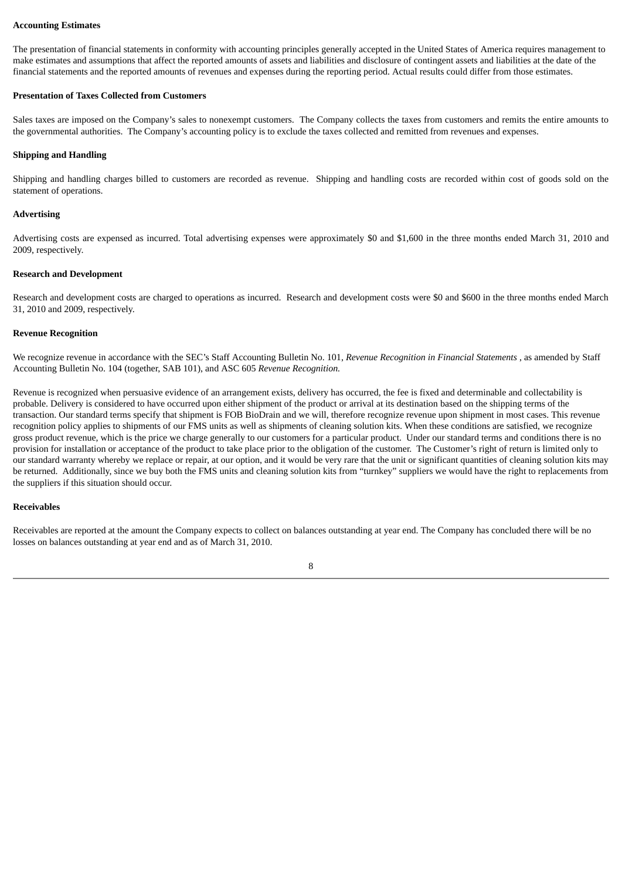### **Accounting Estimates**

The presentation of financial statements in conformity with accounting principles generally accepted in the United States of America requires management to make estimates and assumptions that affect the reported amounts of assets and liabilities and disclosure of contingent assets and liabilities at the date of the financial statements and the reported amounts of revenues and expenses during the reporting period. Actual results could differ from those estimates.

### **Presentation of Taxes Collected from Customers**

Sales taxes are imposed on the Company's sales to nonexempt customers. The Company collects the taxes from customers and remits the entire amounts to the governmental authorities. The Company's accounting policy is to exclude the taxes collected and remitted from revenues and expenses.

### **Shipping and Handling**

Shipping and handling charges billed to customers are recorded as revenue. Shipping and handling costs are recorded within cost of goods sold on the statement of operations.

#### **Advertising**

Advertising costs are expensed as incurred. Total advertising expenses were approximately \$0 and \$1,600 in the three months ended March 31, 2010 and 2009, respectively.

### **Research and Development**

Research and development costs are charged to operations as incurred. Research and development costs were \$0 and \$600 in the three months ended March 31, 2010 and 2009, respectively.

#### **Revenue Recognition**

We recognize revenue in accordance with the SEC's Staff Accounting Bulletin No. 101, *Revenue Recognition in Financial Statements* , as amended by Staff Accounting Bulletin No. 104 (together, SAB 101), and ASC 605 *Revenue Recognition.*

Revenue is recognized when persuasive evidence of an arrangement exists, delivery has occurred, the fee is fixed and determinable and collectability is probable. Delivery is considered to have occurred upon either shipment of the product or arrival at its destination based on the shipping terms of the transaction. Our standard terms specify that shipment is FOB BioDrain and we will, therefore recognize revenue upon shipment in most cases. This revenue recognition policy applies to shipments of our FMS units as well as shipments of cleaning solution kits. When these conditions are satisfied, we recognize gross product revenue, which is the price we charge generally to our customers for a particular product. Under our standard terms and conditions there is no provision for installation or acceptance of the product to take place prior to the obligation of the customer. The Customer's right of return is limited only to our standard warranty whereby we replace or repair, at our option, and it would be very rare that the unit or significant quantities of cleaning solution kits may be returned. Additionally, since we buy both the FMS units and cleaning solution kits from "turnkey" suppliers we would have the right to replacements from the suppliers if this situation should occur.

### **Receivables**

Receivables are reported at the amount the Company expects to collect on balances outstanding at year end. The Company has concluded there will be no losses on balances outstanding at year end and as of March 31, 2010.

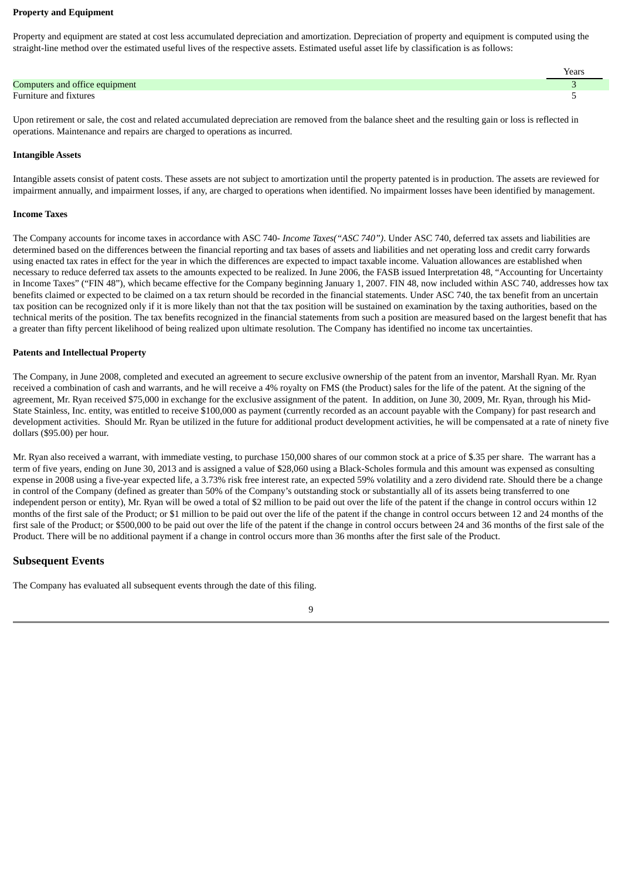#### **Property and Equipment**

Property and equipment are stated at cost less accumulated depreciation and amortization. Depreciation of property and equipment is computed using the straight-line method over the estimated useful lives of the respective assets. Estimated useful asset life by classification is as follows:

|                                | Years |
|--------------------------------|-------|
| Computers and office equipment |       |
| Furniture and fixtures         |       |
|                                |       |

Upon retirement or sale, the cost and related accumulated depreciation are removed from the balance sheet and the resulting gain or loss is reflected in operations. Maintenance and repairs are charged to operations as incurred.

#### **Intangible Assets**

Intangible assets consist of patent costs. These assets are not subject to amortization until the property patented is in production. The assets are reviewed for impairment annually, and impairment losses, if any, are charged to operations when identified. No impairment losses have been identified by management.

#### **Income Taxes**

The Company accounts for income taxes in accordance with ASC 740- *Income Taxes("ASC 740")*. Under ASC 740, deferred tax assets and liabilities are determined based on the differences between the financial reporting and tax bases of assets and liabilities and net operating loss and credit carry forwards using enacted tax rates in effect for the year in which the differences are expected to impact taxable income. Valuation allowances are established when necessary to reduce deferred tax assets to the amounts expected to be realized. In June 2006, the FASB issued Interpretation 48, "Accounting for Uncertainty in Income Taxes" ("FIN 48"), which became effective for the Company beginning January 1, 2007. FIN 48, now included within ASC 740, addresses how tax benefits claimed or expected to be claimed on a tax return should be recorded in the financial statements. Under ASC 740, the tax benefit from an uncertain tax position can be recognized only if it is more likely than not that the tax position will be sustained on examination by the taxing authorities, based on the technical merits of the position. The tax benefits recognized in the financial statements from such a position are measured based on the largest benefit that has a greater than fifty percent likelihood of being realized upon ultimate resolution. The Company has identified no income tax uncertainties.

### **Patents and Intellectual Property**

The Company, in June 2008, completed and executed an agreement to secure exclusive ownership of the patent from an inventor, Marshall Ryan. Mr. Ryan received a combination of cash and warrants, and he will receive a 4% royalty on FMS (the Product) sales for the life of the patent. At the signing of the agreement, Mr. Ryan received \$75,000 in exchange for the exclusive assignment of the patent. In addition, on June 30, 2009, Mr. Ryan, through his Mid-State Stainless, Inc. entity, was entitled to receive \$100,000 as payment (currently recorded as an account payable with the Company) for past research and development activities. Should Mr. Ryan be utilized in the future for additional product development activities, he will be compensated at a rate of ninety five dollars (\$95.00) per hour.

Mr. Ryan also received a warrant, with immediate vesting, to purchase 150,000 shares of our common stock at a price of \$.35 per share. The warrant has a term of five years, ending on June 30, 2013 and is assigned a value of \$28,060 using a Black-Scholes formula and this amount was expensed as consulting expense in 2008 using a five-year expected life, a 3.73% risk free interest rate, an expected 59% volatility and a zero dividend rate. Should there be a change in control of the Company (defined as greater than 50% of the Company's outstanding stock or substantially all of its assets being transferred to one independent person or entity), Mr. Ryan will be owed a total of \$2 million to be paid out over the life of the patent if the change in control occurs within 12 months of the first sale of the Product; or \$1 million to be paid out over the life of the patent if the change in control occurs between 12 and 24 months of the first sale of the Product; or \$500,000 to be paid out over the life of the patent if the change in control occurs between 24 and 36 months of the first sale of the Product. There will be no additional payment if a change in control occurs more than 36 months after the first sale of the Product.

### **Subsequent Events**

The Company has evaluated all subsequent events through the date of this filing.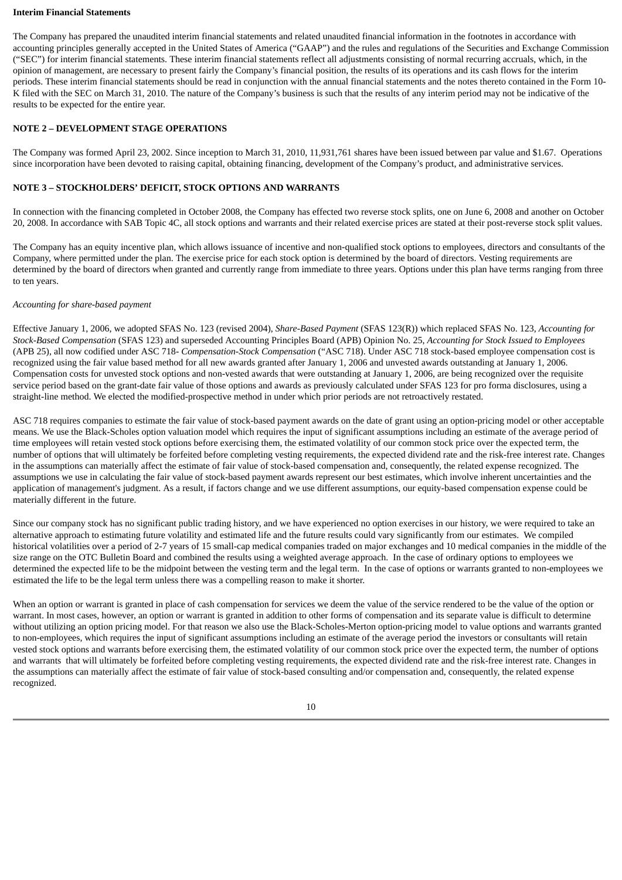#### **Interim Financial Statements**

The Company has prepared the unaudited interim financial statements and related unaudited financial information in the footnotes in accordance with accounting principles generally accepted in the United States of America ("GAAP") and the rules and regulations of the Securities and Exchange Commission ("SEC") for interim financial statements. These interim financial statements reflect all adjustments consisting of normal recurring accruals, which, in the opinion of management, are necessary to present fairly the Company's financial position, the results of its operations and its cash flows for the interim periods. These interim financial statements should be read in conjunction with the annual financial statements and the notes thereto contained in the Form 10- K filed with the SEC on March 31, 2010. The nature of the Company's business is such that the results of any interim period may not be indicative of the results to be expected for the entire year.

### **NOTE 2 – DEVELOPMENT STAGE OPERATIONS**

The Company was formed April 23, 2002. Since inception to March 31, 2010, 11,931,761 shares have been issued between par value and \$1.67. Operations since incorporation have been devoted to raising capital, obtaining financing, development of the Company's product, and administrative services.

### **NOTE 3 – STOCKHOLDERS' DEFICIT, STOCK OPTIONS AND WARRANTS**

In connection with the financing completed in October 2008, the Company has effected two reverse stock splits, one on June 6, 2008 and another on October 20, 2008. In accordance with SAB Topic 4C, all stock options and warrants and their related exercise prices are stated at their post-reverse stock split values.

The Company has an equity incentive plan, which allows issuance of incentive and non-qualified stock options to employees, directors and consultants of the Company, where permitted under the plan. The exercise price for each stock option is determined by the board of directors. Vesting requirements are determined by the board of directors when granted and currently range from immediate to three years. Options under this plan have terms ranging from three to ten years.

### *Accounting for share-based payment*

Effective January 1, 2006, we adopted SFAS No. 123 (revised 2004), *Share-Based Payment* (SFAS 123(R)) which replaced SFAS No. 123, *Accounting for Stock-Based Compensation* (SFAS 123) and superseded Accounting Principles Board (APB) Opinion No. 25, *Accounting for Stock Issued to Employees* (APB 25), all now codified under ASC 718- *Compensation-Stock Compensation* ("ASC 718). Under ASC 718 stock-based employee compensation cost is recognized using the fair value based method for all new awards granted after January 1, 2006 and unvested awards outstanding at January 1, 2006. Compensation costs for unvested stock options and non-vested awards that were outstanding at January 1, 2006, are being recognized over the requisite service period based on the grant-date fair value of those options and awards as previously calculated under SFAS 123 for pro forma disclosures, using a straight-line method. We elected the modified-prospective method in under which prior periods are not retroactively restated.

ASC 718 requires companies to estimate the fair value of stock-based payment awards on the date of grant using an option-pricing model or other acceptable means. We use the Black-Scholes option valuation model which requires the input of significant assumptions including an estimate of the average period of time employees will retain vested stock options before exercising them, the estimated volatility of our common stock price over the expected term, the number of options that will ultimately be forfeited before completing vesting requirements, the expected dividend rate and the risk-free interest rate. Changes in the assumptions can materially affect the estimate of fair value of stock-based compensation and, consequently, the related expense recognized. The assumptions we use in calculating the fair value of stock-based payment awards represent our best estimates, which involve inherent uncertainties and the application of management's judgment. As a result, if factors change and we use different assumptions, our equity-based compensation expense could be materially different in the future.

Since our company stock has no significant public trading history, and we have experienced no option exercises in our history, we were required to take an alternative approach to estimating future volatility and estimated life and the future results could vary significantly from our estimates. We compiled historical volatilities over a period of 2-7 years of 15 small-cap medical companies traded on major exchanges and 10 medical companies in the middle of the size range on the OTC Bulletin Board and combined the results using a weighted average approach. In the case of ordinary options to employees we determined the expected life to be the midpoint between the vesting term and the legal term. In the case of options or warrants granted to non-employees we estimated the life to be the legal term unless there was a compelling reason to make it shorter.

When an option or warrant is granted in place of cash compensation for services we deem the value of the service rendered to be the value of the option or warrant. In most cases, however, an option or warrant is granted in addition to other forms of compensation and its separate value is difficult to determine without utilizing an option pricing model. For that reason we also use the Black-Scholes-Merton option-pricing model to value options and warrants granted to non-employees, which requires the input of significant assumptions including an estimate of the average period the investors or consultants will retain vested stock options and warrants before exercising them, the estimated volatility of our common stock price over the expected term, the number of options and warrants that will ultimately be forfeited before completing vesting requirements, the expected dividend rate and the risk-free interest rate. Changes in the assumptions can materially affect the estimate of fair value of stock-based consulting and/or compensation and, consequently, the related expense recognized.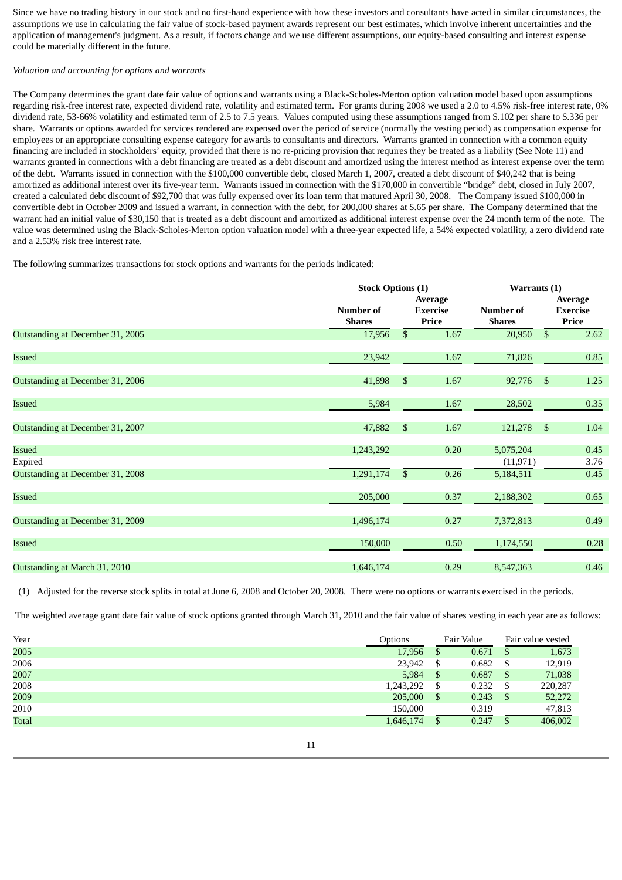Since we have no trading history in our stock and no first-hand experience with how these investors and consultants have acted in similar circumstances, the assumptions we use in calculating the fair value of stock-based payment awards represent our best estimates, which involve inherent uncertainties and the application of management's judgment. As a result, if factors change and we use different assumptions, our equity-based consulting and interest expense could be materially different in the future.

### *Valuation and accounting for options and warrants*

The Company determines the grant date fair value of options and warrants using a Black-Scholes-Merton option valuation model based upon assumptions regarding risk-free interest rate, expected dividend rate, volatility and estimated term. For grants during 2008 we used a 2.0 to 4.5% risk-free interest rate, 0% dividend rate, 53-66% volatility and estimated term of 2.5 to 7.5 years. Values computed using these assumptions ranged from \$.102 per share to \$.336 per share. Warrants or options awarded for services rendered are expensed over the period of service (normally the vesting period) as compensation expense for employees or an appropriate consulting expense category for awards to consultants and directors. Warrants granted in connection with a common equity financing are included in stockholders' equity, provided that there is no re-pricing provision that requires they be treated as a liability (See Note 11) and warrants granted in connections with a debt financing are treated as a debt discount and amortized using the interest method as interest expense over the term of the debt. Warrants issued in connection with the \$100,000 convertible debt, closed March 1, 2007, created a debt discount of \$40,242 that is being amortized as additional interest over its five-year term. Warrants issued in connection with the \$170,000 in convertible "bridge" debt, closed in July 2007, created a calculated debt discount of \$92,700 that was fully expensed over its loan term that matured April 30, 2008. The Company issued \$100,000 in convertible debt in October 2009 and issued a warrant, in connection with the debt, for 200,000 shares at \$.65 per share. The Company determined that the warrant had an initial value of \$30,150 that is treated as a debt discount and amortized as additional interest expense over the 24 month term of the note. The value was determined using the Black-Scholes-Merton option valuation model with a three-year expected life, a 54% expected volatility, a zero dividend rate and a 2.53% risk free interest rate.

The following summarizes transactions for stock options and warrants for the periods indicated:

|                                                       |                            | <b>Stock Options (1)</b> |                                     |                                     | Warrants (1)   |                                     |  |
|-------------------------------------------------------|----------------------------|--------------------------|-------------------------------------|-------------------------------------|----------------|-------------------------------------|--|
|                                                       | Number of<br><b>Shares</b> |                          | Average<br><b>Exercise</b><br>Price | Number of<br><b>Shares</b>          |                | Average<br><b>Exercise</b><br>Price |  |
| Outstanding at December 31, 2005                      | 17,956                     | $\mathfrak{S}$           | 1.67                                | 20,950                              | $\mathfrak{S}$ | 2.62                                |  |
| <b>Issued</b>                                         | 23,942                     |                          | 1.67                                | 71,826                              |                | 0.85                                |  |
| Outstanding at December 31, 2006                      | 41,898                     | \$                       | 1.67                                | 92,776                              | \$             | 1.25                                |  |
| Issued                                                | 5,984                      |                          | 1.67                                | 28,502                              |                | 0.35                                |  |
| Outstanding at December 31, 2007                      | 47,882                     | $\mathfrak{S}$           | 1.67                                | 121,278                             | $\mathfrak{s}$ | 1.04                                |  |
| Issued<br>Expired<br>Outstanding at December 31, 2008 | 1,243,292<br>1,291,174     | $\mathbb{S}$             | 0.20<br>0.26                        | 5,075,204<br>(11, 971)<br>5,184,511 |                | 0.45<br>3.76<br>0.45                |  |
| Issued                                                | 205,000                    |                          | 0.37                                | 2,188,302                           |                | 0.65                                |  |
| Outstanding at December 31, 2009                      | 1,496,174                  |                          | 0.27                                | 7,372,813                           |                | 0.49                                |  |
| Issued                                                | 150,000                    |                          | 0.50                                | 1,174,550                           |                | $0.28\,$                            |  |
| Outstanding at March 31, 2010                         | 1,646,174                  |                          | 0.29                                | 8,547,363                           |                | 0.46                                |  |

(1) Adjusted for the reverse stock splits in total at June 6, 2008 and October 20, 2008. There were no options or warrants exercised in the periods.

The weighted average grant date fair value of stock options granted through March 31, 2010 and the fair value of shares vesting in each year are as follows:

| Year         | Options   |    | Fair Value |               | Fair value vested |
|--------------|-----------|----|------------|---------------|-------------------|
| 2005         | 17,956    | S  | 0.671      | \$            | 1,673             |
| 2006         | 23,942    | S  | 0.682      | \$            | 12,919            |
| 2007         | 5,984     | \$ | 0.687      | \$            | 71,038            |
| 2008         | 1,243,292 | S  | 0.232      | \$            | 220,287           |
| 2009         | 205,000   | \$ | 0.243      | <sup>\$</sup> | 52,272            |
| 2010         | 150,000   |    | 0.319      |               | 47,813            |
| <b>Total</b> | 1,646,174 |    | 0.247      |               | 406,002           |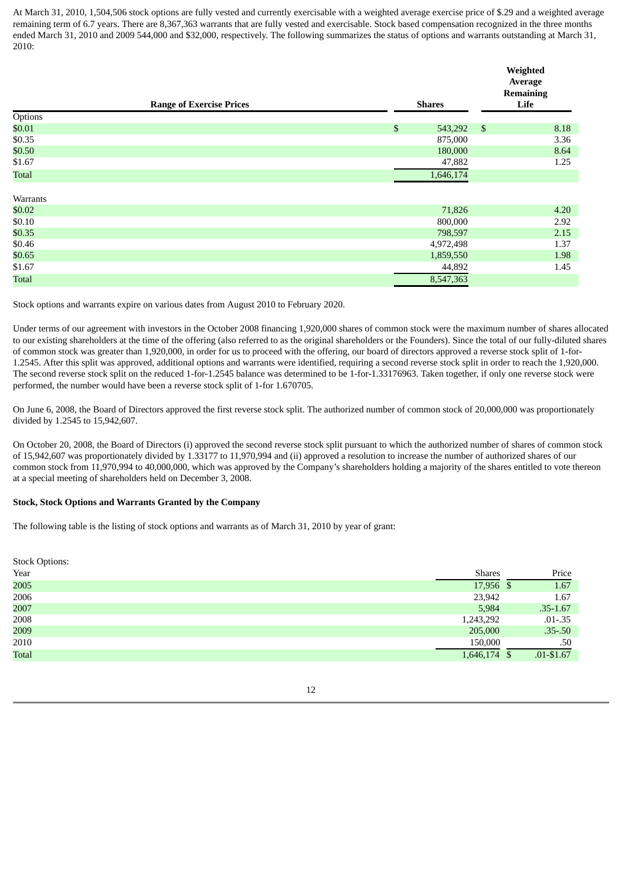At March 31, 2010, 1,504,506 stock options are fully vested and currently exercisable with a weighted average exercise price of \$.29 and a weighted average remaining term of 6.7 years. There are 8,367,363 warrants that are fully vested and exercisable. Stock based compensation recognized in the three months ended March 31, 2010 and 2009 544,000 and \$32,000, respectively. The following summarizes the status of options and warrants outstanding at March 31, 2010:

|              |                                 |    |               |                | Weighted<br>Average<br><b>Remaining</b> |  |
|--------------|---------------------------------|----|---------------|----------------|-----------------------------------------|--|
|              | <b>Range of Exercise Prices</b> |    | <b>Shares</b> | Life           |                                         |  |
| Options      |                                 |    |               |                |                                         |  |
| \$0.01       |                                 | \$ | 543,292       | $\mathfrak{S}$ | 8.18                                    |  |
| \$0.35       |                                 |    | 875,000       |                | 3.36                                    |  |
| \$0.50       |                                 |    | 180,000       |                | 8.64                                    |  |
| \$1.67       |                                 |    | 47,882        |                | 1.25                                    |  |
| <b>Total</b> |                                 |    | 1,646,174     |                |                                         |  |
| Warrants     |                                 |    |               |                |                                         |  |
| \$0.02       |                                 |    | 71,826        |                | 4.20                                    |  |
| \$0.10       |                                 |    | 800,000       |                | 2.92                                    |  |
| \$0.35       |                                 |    | 798,597       |                | 2.15                                    |  |
| \$0.46       |                                 |    | 4,972,498     |                | 1.37                                    |  |
| \$0.65       |                                 |    | 1,859,550     |                | 1.98                                    |  |
| \$1.67       |                                 |    | 44,892        |                | 1.45                                    |  |
| <b>Total</b> |                                 |    | 8,547,363     |                |                                         |  |

Stock options and warrants expire on various dates from August 2010 to February 2020.

Under terms of our agreement with investors in the October 2008 financing 1,920,000 shares of common stock were the maximum number of shares allocated to our existing shareholders at the time of the offering (also referred to as the original shareholders or the Founders). Since the total of our fully-diluted shares of common stock was greater than 1,920,000, in order for us to proceed with the offering, our board of directors approved a reverse stock split of 1-for-1.2545. After this split was approved, additional options and warrants were identified, requiring a second reverse stock split in order to reach the 1,920,000. The second reverse stock split on the reduced 1-for-1.2545 balance was determined to be 1-for-1.33176963. Taken together, if only one reverse stock were performed, the number would have been a reverse stock split of 1-for 1.670705.

On June 6, 2008, the Board of Directors approved the first reverse stock split. The authorized number of common stock of 20,000,000 was proportionately divided by 1.2545 to 15,942,607.

On October 20, 2008, the Board of Directors (i) approved the second reverse stock split pursuant to which the authorized number of shares of common stock of 15,942,607 was proportionately divided by 1.33177 to 11,970,994 and (ii) approved a resolution to increase the number of authorized shares of our common stock from 11,970,994 to 40,000,000, which was approved by the Company's shareholders holding a majority of the shares entitled to vote thereon at a special meeting of shareholders held on December 3, 2008.

### **Stock, Stock Options and Warrants Granted by the Company**

The following table is the listing of stock options and warrants as of March 31, 2010 by year of grant:

| <b>Stock Options:</b> |               |               |
|-----------------------|---------------|---------------|
| Year                  | <b>Shares</b> | Price         |
| 2005                  | 17,956 \$     | 1.67          |
| 2006                  | 23,942        | 1.67          |
| 2007                  | 5,984         | $.35 - 1.67$  |
| 2008                  | 1,243,292     | $.01 - .35$   |
| 2009                  | 205,000       | $.35 - .50$   |
| 2010                  | 150,000       | .50           |
| Total                 | 1,646,174 \$  | $.01 - $1.67$ |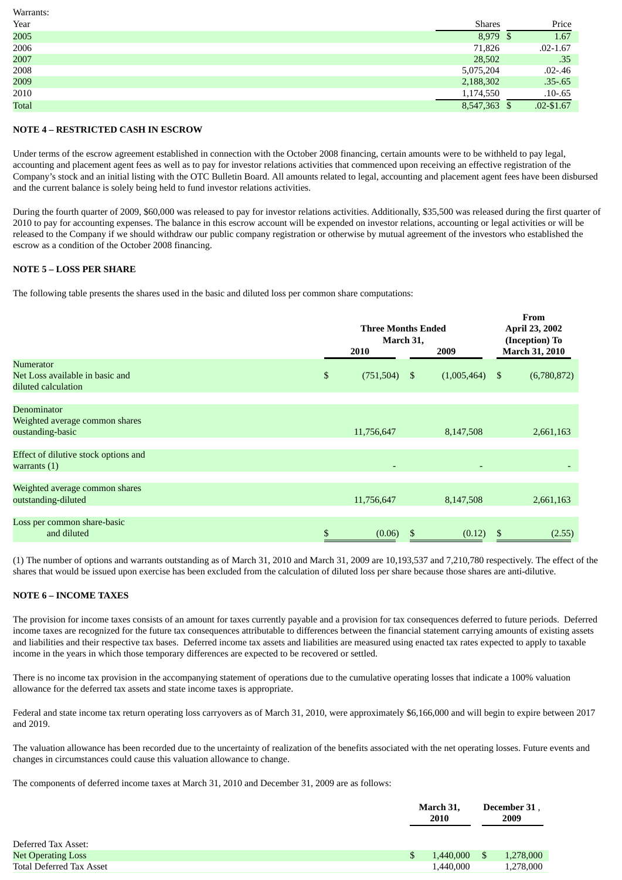| Warrants: |               |               |
|-----------|---------------|---------------|
| Year      | <b>Shares</b> | Price         |
| 2005      | 8,979 \$      | 1.67          |
| 2006      | 71,826        | $.02 - 1.67$  |
| 2007      | 28,502        | .35           |
| 2008      | 5,075,204     | $.02 - .46$   |
| 2009      | 2,188,302     | $.35 - .65$   |
| 2010      | 1,174,550     | $.10 - .65$   |
| Total     | 8,547,363 \$  | $.02 - $1.67$ |

### **NOTE 4 – RESTRICTED CASH IN ESCROW**

Under terms of the escrow agreement established in connection with the October 2008 financing, certain amounts were to be withheld to pay legal, accounting and placement agent fees as well as to pay for investor relations activities that commenced upon receiving an effective registration of the Company's stock and an initial listing with the OTC Bulletin Board. All amounts related to legal, accounting and placement agent fees have been disbursed and the current balance is solely being held to fund investor relations activities.

During the fourth quarter of 2009, \$60,000 was released to pay for investor relations activities. Additionally, \$35,500 was released during the first quarter of 2010 to pay for accounting expenses. The balance in this escrow account will be expended on investor relations, accounting or legal activities or will be released to the Company if we should withdraw our public company registration or otherwise by mutual agreement of the investors who established the escrow as a condition of the October 2008 financing.

### **NOTE 5 – LOSS PER SHARE**

The following table presents the shares used in the basic and diluted loss per common share computations:

|                                                                     |      | <b>Three Months Ended</b><br>March 31, | From<br>April 23, 2002<br>(Inception) To |                       |
|---------------------------------------------------------------------|------|----------------------------------------|------------------------------------------|-----------------------|
|                                                                     |      | 2010                                   | 2009                                     | March 31, 2010        |
| Numerator<br>Net Loss available in basic and<br>diluted calculation | $\$$ | $(751,504)$ \$                         | (1,005,464)                              | (6,780,872)<br>-\$    |
| Denominator<br>Weighted average common shares<br>oustanding-basic   |      | 11,756,647                             | 8,147,508                                | 2,661,163             |
| Effect of dilutive stock options and<br>warrants $(1)$              |      | ٠                                      |                                          | ۰                     |
| Weighted average common shares<br>outstanding-diluted               |      | 11,756,647                             | 8,147,508                                | 2,661,163             |
| Loss per common share-basic<br>and diluted                          | \$   | (0.06)                                 |                                          | (0.12)<br>(2.55)<br>S |

(1) The number of options and warrants outstanding as of March 31, 2010 and March 31, 2009 are 10,193,537 and 7,210,780 respectively. The effect of the shares that would be issued upon exercise has been excluded from the calculation of diluted loss per share because those shares are anti-dilutive.

### **NOTE 6 – INCOME TAXES**

The provision for income taxes consists of an amount for taxes currently payable and a provision for tax consequences deferred to future periods. Deferred income taxes are recognized for the future tax consequences attributable to differences between the financial statement carrying amounts of existing assets and liabilities and their respective tax bases. Deferred income tax assets and liabilities are measured using enacted tax rates expected to apply to taxable income in the years in which those temporary differences are expected to be recovered or settled.

There is no income tax provision in the accompanying statement of operations due to the cumulative operating losses that indicate a 100% valuation allowance for the deferred tax assets and state income taxes is appropriate.

Federal and state income tax return operating loss carryovers as of March 31, 2010, were approximately \$6,166,000 and will begin to expire between 2017 and 2019.

The valuation allowance has been recorded due to the uncertainty of realization of the benefits associated with the net operating losses. Future events and changes in circumstances could cause this valuation allowance to change.

The components of deferred income taxes at March 31, 2010 and December 31, 2009 are as follows:

|                           | March 31,<br>2010 |      | December 31,<br>2009 |
|---------------------------|-------------------|------|----------------------|
| Deferred Tax Asset:       |                   |      |                      |
| <b>Net Operating Loss</b> | 1,440,000         | - \$ | 1,278,000            |
| Total Deferred Tax Asset  | 1,440,000         |      | 1,278,000            |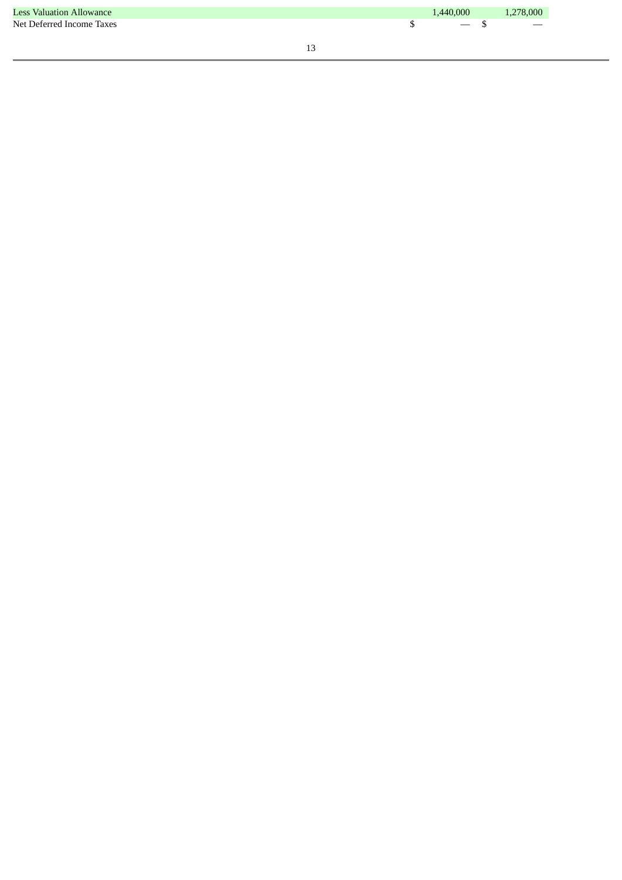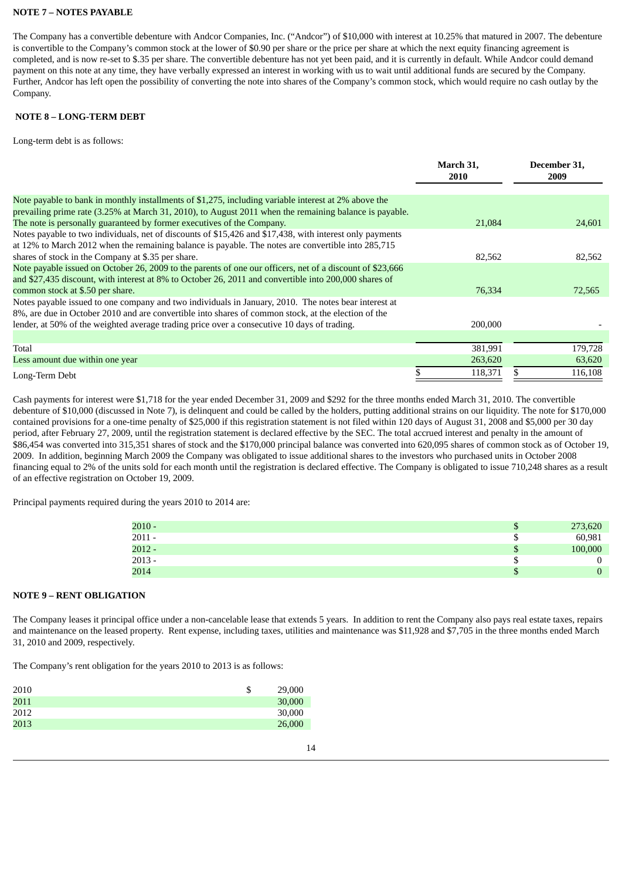### **NOTE 7 – NOTES PAYABLE**

The Company has a convertible debenture with Andcor Companies, Inc. ("Andcor") of \$10,000 with interest at 10.25% that matured in 2007. The debenture is convertible to the Company's common stock at the lower of \$0.90 per share or the price per share at which the next equity financing agreement is completed, and is now re-set to \$.35 per share. The convertible debenture has not yet been paid, and it is currently in default. While Andcor could demand payment on this note at any time, they have verbally expressed an interest in working with us to wait until additional funds are secured by the Company. Further, Andcor has left open the possibility of converting the note into shares of the Company's common stock, which would require no cash outlay by the Company.

### **NOTE 8 – LONG-TERM DEBT**

Long-term debt is as follows:

|                                                                                                           | March 31,<br><b>2010</b> | December 31,<br>2009 |
|-----------------------------------------------------------------------------------------------------------|--------------------------|----------------------|
| Note payable to bank in monthly installments of \$1,275, including variable interest at 2% above the      |                          |                      |
| prevailing prime rate (3.25% at March 31, 2010), to August 2011 when the remaining balance is payable.    |                          |                      |
| The note is personally guaranteed by former executives of the Company.                                    | 21,084                   | 24,601               |
| Notes payable to two individuals, net of discounts of \$15,426 and \$17,438, with interest only payments  |                          |                      |
| at 12% to March 2012 when the remaining balance is payable. The notes are convertible into 285,715        |                          |                      |
| shares of stock in the Company at \$.35 per share.                                                        | 82,562                   | 82,562               |
| Note payable issued on October 26, 2009 to the parents of one our officers, net of a discount of \$23,666 |                          |                      |
| and \$27,435 discount, with interest at 8% to October 26, 2011 and convertible into 200,000 shares of     |                          |                      |
| common stock at \$.50 per share.                                                                          | 76,334                   | 72,565               |
| Notes payable issued to one company and two individuals in January, 2010. The notes bear interest at      |                          |                      |
| 8%, are due in October 2010 and are convertible into shares of common stock, at the election of the       |                          |                      |
| lender, at 50% of the weighted average trading price over a consecutive 10 days of trading.               | 200,000                  |                      |
|                                                                                                           |                          |                      |
| Total                                                                                                     | 381,991                  | 179,728              |
| Less amount due within one year                                                                           | 263,620                  | 63,620               |
| Long-Term Debt                                                                                            | 118,371                  | 116,108              |

Cash payments for interest were \$1,718 for the year ended December 31, 2009 and \$292 for the three months ended March 31, 2010. The convertible debenture of \$10,000 (discussed in Note 7), is delinquent and could be called by the holders, putting additional strains on our liquidity. The note for \$170,000 contained provisions for a one-time penalty of \$25,000 if this registration statement is not filed within 120 days of August 31, 2008 and \$5,000 per 30 day period, after February 27, 2009, until the registration statement is declared effective by the SEC. The total accrued interest and penalty in the amount of \$86,454 was converted into 315,351 shares of stock and the \$170,000 principal balance was converted into 620,095 shares of common stock as of October 19, 2009. In addition, beginning March 2009 the Company was obligated to issue additional shares to the investors who purchased units in October 2008 financing equal to 2% of the units sold for each month until the registration is declared effective. The Company is obligated to issue 710,248 shares as a result of an effective registration on October 19, 2009.

Principal payments required during the years 2010 to 2014 are:

| $2010 -$ | ۰  | 273,620 |
|----------|----|---------|
| $2011 -$ | Ψ  | 60,981  |
| $2012 -$ | ۰  | 100,000 |
| $2013 -$ | ω  |         |
| 2014     | ۰D |         |

### **NOTE 9 – RENT OBLIGATION**

The Company leases it principal office under a non-cancelable lease that extends 5 years. In addition to rent the Company also pays real estate taxes, repairs and maintenance on the leased property. Rent expense, including taxes, utilities and maintenance was \$11,928 and \$7,705 in the three months ended March 31, 2010 and 2009, respectively.

The Company's rent obligation for the years 2010 to 2013 is as follows:

| 2010 | \$<br>29,000 |
|------|--------------|
| 2011 | 30,000       |
| 2012 | 30,000       |
| 2013 | 26,000       |
|      |              |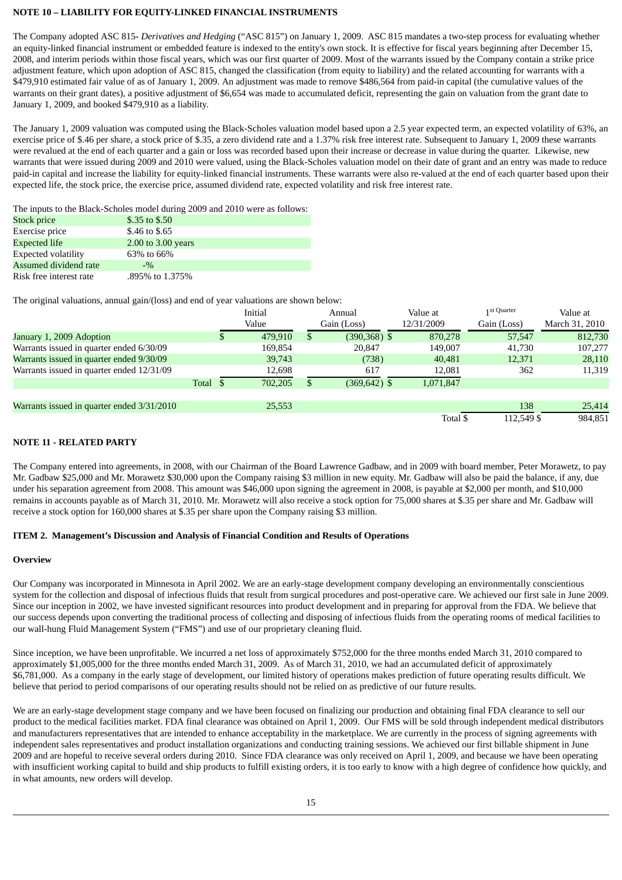### **NOTE 10 – LIABILITY FOR EQUITY-LINKED FINANCIAL INSTRUMENTS**

The Company adopted ASC 815- *Derivatives and Hedging* ("ASC 815") on January 1, 2009. ASC 815 mandates a two-step process for evaluating whether an equity-linked financial instrument or embedded feature is indexed to the entity's own stock. It is effective for fiscal years beginning after December 15, 2008, and interim periods within those fiscal years, which was our first quarter of 2009. Most of the warrants issued by the Company contain a strike price adjustment feature, which upon adoption of ASC 815, changed the classification (from equity to liability) and the related accounting for warrants with a \$479,910 estimated fair value of as of January 1, 2009. An adjustment was made to remove \$486,564 from paid-in capital (the cumulative values of the warrants on their grant dates), a positive adjustment of \$6,654 was made to accumulated deficit, representing the gain on valuation from the grant date to January 1, 2009, and booked \$479,910 as a liability.

The January 1, 2009 valuation was computed using the Black-Scholes valuation model based upon a 2.5 year expected term, an expected volatility of 63%, an exercise price of \$.46 per share, a stock price of \$.35, a zero dividend rate and a 1.37% risk free interest rate. Subsequent to January 1, 2009 these warrants were revalued at the end of each quarter and a gain or loss was recorded based upon their increase or decrease in value during the quarter. Likewise, new warrants that were issued during 2009 and 2010 were valued, using the Black-Scholes valuation model on their date of grant and an entry was made to reduce paid-in capital and increase the liability for equity-linked financial instruments. These warrants were also re-valued at the end of each quarter based upon their expected life, the stock price, the exercise price, assumed dividend rate, expected volatility and risk free interest rate.

The inputs to the Black-Scholes model during 2009 and 2010 were as follows:

| Stock price                | \$.35 to \$.50     |
|----------------------------|--------------------|
| Exercise price             | \$.46 to \$.65     |
| <b>Expected life</b>       | 2.00 to 3.00 years |
| <b>Expected volatility</b> | 63% to 66%         |
| Assumed dividend rate      | $-9/2$             |
| Risk free interest rate    | .895% to 1.375%    |

The original valuations, annual gain/(loss) and end of year valuations are shown below:

|                                            |          | Initial<br>Value |   | Annual<br>Gain (Loss) | Value at<br>12/31/2009 | 1 st Quarter<br>Gain (Loss) | Value at<br>March 31, 2010 |
|--------------------------------------------|----------|------------------|---|-----------------------|------------------------|-----------------------------|----------------------------|
| January 1, 2009 Adoption                   |          | 479.910          | S | $(390, 368)$ \$       | 870,278                | 57,547                      | 812,730                    |
| Warrants issued in quarter ended 6/30/09   |          | 169,854          |   | 20,847                | 149,007                | 41,730                      | 107,277                    |
| Warrants issued in quarter ended 9/30/09   |          | 39,743           |   | (738)                 | 40,481                 | 12,371                      | 28,110                     |
| Warrants issued in quarter ended 12/31/09  |          | 12,698           |   | 617                   | 12,081                 | 362                         | 11,319                     |
|                                            | Total \$ | 702,205          |   | $(369, 642)$ \$       | 1,071,847              |                             |                            |
| Warrants issued in quarter ended 3/31/2010 |          | 25,553           |   |                       |                        | 138                         | 25,414                     |
|                                            |          |                  |   |                       | Total \$               | 112.549 \$                  | 984,851                    |

### **NOTE 11 - RELATED PARTY**

The Company entered into agreements, in 2008, with our Chairman of the Board Lawrence Gadbaw, and in 2009 with board member, Peter Morawetz, to pay Mr. Gadbaw \$25,000 and Mr. Morawetz \$30,000 upon the Company raising \$3 million in new equity. Mr. Gadbaw will also be paid the balance, if any, due under his separation agreement from 2008. This amount was \$46,000 upon signing the agreement in 2008, is payable at \$2,000 per month, and \$10,000 remains in accounts payable as of March 31, 2010. Mr. Morawetz will also receive a stock option for 75,000 shares at \$.35 per share and Mr. Gadbaw will receive a stock option for 160,000 shares at \$.35 per share upon the Company raising \$3 million.

### **ITEM 2. Management's Discussion and Analysis of Financial Condition and Results of Operations**

### **Overview**

Our Company was incorporated in Minnesota in April 2002. We are an early-stage development company developing an environmentally conscientious system for the collection and disposal of infectious fluids that result from surgical procedures and post-operative care. We achieved our first sale in June 2009. Since our inception in 2002, we have invested significant resources into product development and in preparing for approval from the FDA. We believe that our success depends upon converting the traditional process of collecting and disposing of infectious fluids from the operating rooms of medical facilities to our wall-hung Fluid Management System ("FMS") and use of our proprietary cleaning fluid.

Since inception, we have been unprofitable. We incurred a net loss of approximately \$752,000 for the three months ended March 31, 2010 compared to approximately \$1,005,000 for the three months ended March 31, 2009. As of March 31, 2010, we had an accumulated deficit of approximately \$6,781,000. As a company in the early stage of development, our limited history of operations makes prediction of future operating results difficult. We believe that period to period comparisons of our operating results should not be relied on as predictive of our future results.

We are an early-stage development stage company and we have been focused on finalizing our production and obtaining final FDA clearance to sell our product to the medical facilities market. FDA final clearance was obtained on April 1, 2009. Our FMS will be sold through independent medical distributors and manufacturers representatives that are intended to enhance acceptability in the marketplace. We are currently in the process of signing agreements with independent sales representatives and product installation organizations and conducting training sessions. We achieved our first billable shipment in June 2009 and are hopeful to receive several orders during 2010. Since FDA clearance was only received on April 1, 2009, and because we have been operating with insufficient working capital to build and ship products to fulfill existing orders, it is too early to know with a high degree of confidence how quickly, and in what amounts, new orders will develop.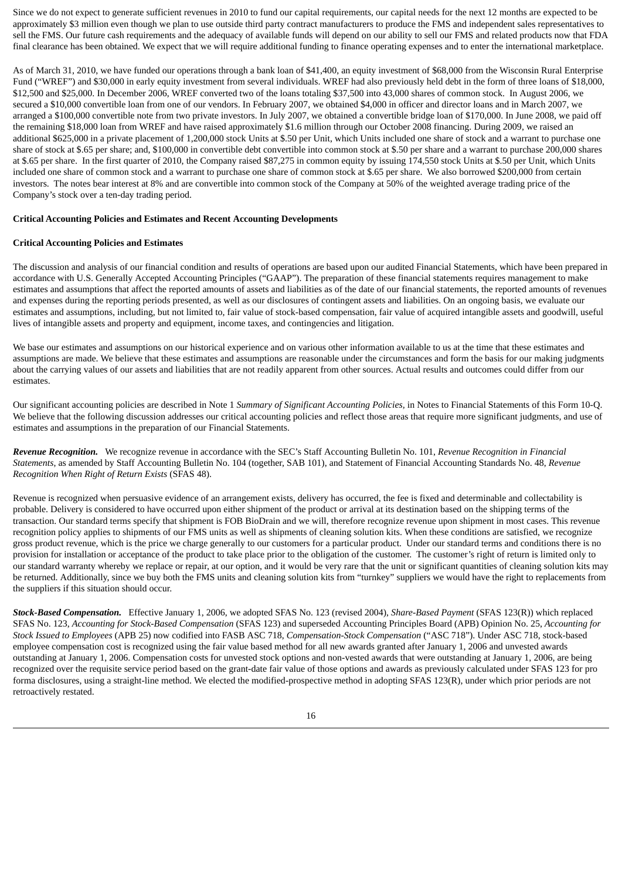Since we do not expect to generate sufficient revenues in 2010 to fund our capital requirements, our capital needs for the next 12 months are expected to be approximately \$3 million even though we plan to use outside third party contract manufacturers to produce the FMS and independent sales representatives to sell the FMS. Our future cash requirements and the adequacy of available funds will depend on our ability to sell our FMS and related products now that FDA final clearance has been obtained. We expect that we will require additional funding to finance operating expenses and to enter the international marketplace.

As of March 31, 2010, we have funded our operations through a bank loan of \$41,400, an equity investment of \$68,000 from the Wisconsin Rural Enterprise Fund ("WREF") and \$30,000 in early equity investment from several individuals. WREF had also previously held debt in the form of three loans of \$18,000, \$12,500 and \$25,000. In December 2006, WREF converted two of the loans totaling \$37,500 into 43,000 shares of common stock. In August 2006, we secured a \$10,000 convertible loan from one of our vendors. In February 2007, we obtained \$4,000 in officer and director loans and in March 2007, we arranged a \$100,000 convertible note from two private investors. In July 2007, we obtained a convertible bridge loan of \$170,000. In June 2008, we paid off the remaining \$18,000 loan from WREF and have raised approximately \$1.6 million through our October 2008 financing. During 2009, we raised an additional \$625,000 in a private placement of 1,200,000 stock Units at \$.50 per Unit, which Units included one share of stock and a warrant to purchase one share of stock at \$.65 per share; and, \$100,000 in convertible debt convertible into common stock at \$.50 per share and a warrant to purchase 200,000 shares at \$.65 per share. In the first quarter of 2010, the Company raised \$87,275 in common equity by issuing 174,550 stock Units at \$.50 per Unit, which Units included one share of common stock and a warrant to purchase one share of common stock at \$.65 per share. We also borrowed \$200,000 from certain investors. The notes bear interest at 8% and are convertible into common stock of the Company at 50% of the weighted average trading price of the Company's stock over a ten-day trading period.

#### **Critical Accounting Policies and Estimates and Recent Accounting Developments**

### **Critical Accounting Policies and Estimates**

The discussion and analysis of our financial condition and results of operations are based upon our audited Financial Statements, which have been prepared in accordance with U.S. Generally Accepted Accounting Principles ("GAAP"). The preparation of these financial statements requires management to make estimates and assumptions that affect the reported amounts of assets and liabilities as of the date of our financial statements, the reported amounts of revenues and expenses during the reporting periods presented, as well as our disclosures of contingent assets and liabilities. On an ongoing basis, we evaluate our estimates and assumptions, including, but not limited to, fair value of stock-based compensation, fair value of acquired intangible assets and goodwill, useful lives of intangible assets and property and equipment, income taxes, and contingencies and litigation.

We base our estimates and assumptions on our historical experience and on various other information available to us at the time that these estimates and assumptions are made. We believe that these estimates and assumptions are reasonable under the circumstances and form the basis for our making judgments about the carrying values of our assets and liabilities that are not readily apparent from other sources. Actual results and outcomes could differ from our estimates.

Our significant accounting policies are described in Note 1 *Summary of Significant Accounting Policies,* in Notes to Financial Statements of this Form 10-Q. We believe that the following discussion addresses our critical accounting policies and reflect those areas that require more significant judgments, and use of estimates and assumptions in the preparation of our Financial Statements.

*Revenue Recognition.* We recognize revenue in accordance with the SEC's Staff Accounting Bulletin No. 101, *Revenue Recognition in Financial Statements*, as amended by Staff Accounting Bulletin No. 104 (together, SAB 101), and Statement of Financial Accounting Standards No. 48, *Revenue Recognition When Right of Return Exists* (SFAS 48).

Revenue is recognized when persuasive evidence of an arrangement exists, delivery has occurred, the fee is fixed and determinable and collectability is probable. Delivery is considered to have occurred upon either shipment of the product or arrival at its destination based on the shipping terms of the transaction. Our standard terms specify that shipment is FOB BioDrain and we will, therefore recognize revenue upon shipment in most cases. This revenue recognition policy applies to shipments of our FMS units as well as shipments of cleaning solution kits. When these conditions are satisfied, we recognize gross product revenue, which is the price we charge generally to our customers for a particular product. Under our standard terms and conditions there is no provision for installation or acceptance of the product to take place prior to the obligation of the customer. The customer's right of return is limited only to our standard warranty whereby we replace or repair, at our option, and it would be very rare that the unit or significant quantities of cleaning solution kits may be returned. Additionally, since we buy both the FMS units and cleaning solution kits from "turnkey" suppliers we would have the right to replacements from the suppliers if this situation should occur.

*Stock-Based Compensation.* Effective January 1, 2006, we adopted SFAS No. 123 (revised 2004), *Share-Based Payment* (SFAS 123(R)) which replaced SFAS No. 123, *Accounting for Stock-Based Compensation* (SFAS 123) and superseded Accounting Principles Board (APB) Opinion No. 25, *Accounting for Stock Issued to Employees* (APB 25) now codified into FASB ASC 718, *Compensation-Stock Compensation* ("ASC 718"). Under ASC 718, stock-based employee compensation cost is recognized using the fair value based method for all new awards granted after January 1, 2006 and unvested awards outstanding at January 1, 2006. Compensation costs for unvested stock options and non-vested awards that were outstanding at January 1, 2006, are being recognized over the requisite service period based on the grant-date fair value of those options and awards as previously calculated under SFAS 123 for pro forma disclosures, using a straight-line method. We elected the modified-prospective method in adopting SFAS 123(R), under which prior periods are not retroactively restated.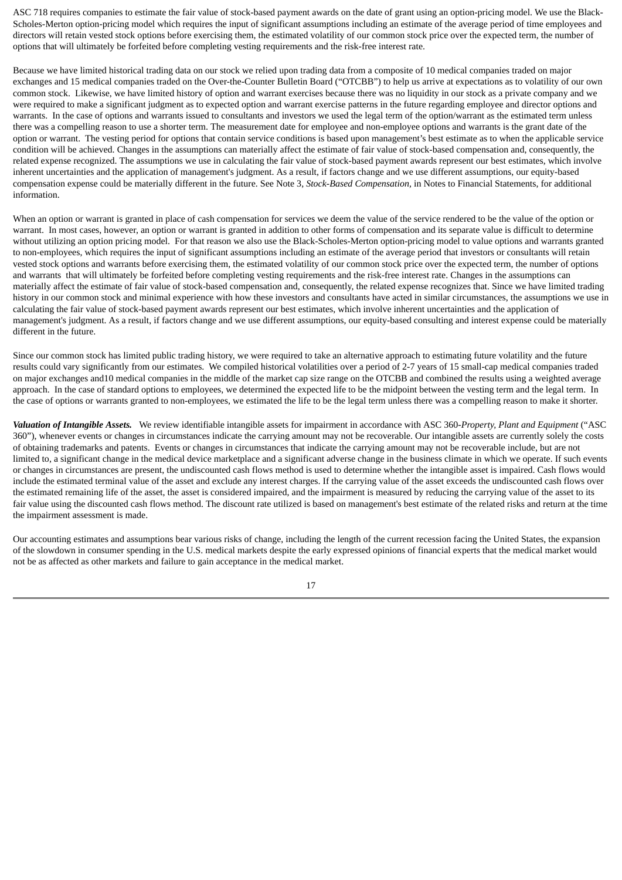ASC 718 requires companies to estimate the fair value of stock-based payment awards on the date of grant using an option-pricing model. We use the Black-Scholes-Merton option-pricing model which requires the input of significant assumptions including an estimate of the average period of time employees and directors will retain vested stock options before exercising them, the estimated volatility of our common stock price over the expected term, the number of options that will ultimately be forfeited before completing vesting requirements and the risk-free interest rate.

Because we have limited historical trading data on our stock we relied upon trading data from a composite of 10 medical companies traded on major exchanges and 15 medical companies traded on the Over-the-Counter Bulletin Board ("OTCBB") to help us arrive at expectations as to volatility of our own common stock. Likewise, we have limited history of option and warrant exercises because there was no liquidity in our stock as a private company and we were required to make a significant judgment as to expected option and warrant exercise patterns in the future regarding employee and director options and warrants. In the case of options and warrants issued to consultants and investors we used the legal term of the option/warrant as the estimated term unless there was a compelling reason to use a shorter term. The measurement date for employee and non-employee options and warrants is the grant date of the option or warrant. The vesting period for options that contain service conditions is based upon management's best estimate as to when the applicable service condition will be achieved. Changes in the assumptions can materially affect the estimate of fair value of stock-based compensation and, consequently, the related expense recognized. The assumptions we use in calculating the fair value of stock-based payment awards represent our best estimates, which involve inherent uncertainties and the application of management's judgment. As a result, if factors change and we use different assumptions, our equity-based compensation expense could be materially different in the future. See Note 3, *Stock-Based Compensation,* in Notes to Financial Statements, for additional information.

When an option or warrant is granted in place of cash compensation for services we deem the value of the service rendered to be the value of the option or warrant. In most cases, however, an option or warrant is granted in addition to other forms of compensation and its separate value is difficult to determine without utilizing an option pricing model. For that reason we also use the Black-Scholes-Merton option-pricing model to value options and warrants granted to non-employees, which requires the input of significant assumptions including an estimate of the average period that investors or consultants will retain vested stock options and warrants before exercising them, the estimated volatility of our common stock price over the expected term, the number of options and warrants that will ultimately be forfeited before completing vesting requirements and the risk-free interest rate. Changes in the assumptions can materially affect the estimate of fair value of stock-based compensation and, consequently, the related expense recognizes that. Since we have limited trading history in our common stock and minimal experience with how these investors and consultants have acted in similar circumstances, the assumptions we use in calculating the fair value of stock-based payment awards represent our best estimates, which involve inherent uncertainties and the application of management's judgment. As a result, if factors change and we use different assumptions, our equity-based consulting and interest expense could be materially different in the future.

Since our common stock has limited public trading history, we were required to take an alternative approach to estimating future volatility and the future results could vary significantly from our estimates. We compiled historical volatilities over a period of 2-7 years of 15 small-cap medical companies traded on major exchanges and10 medical companies in the middle of the market cap size range on the OTCBB and combined the results using a weighted average approach. In the case of standard options to employees, we determined the expected life to be the midpoint between the vesting term and the legal term. In the case of options or warrants granted to non-employees, we estimated the life to be the legal term unless there was a compelling reason to make it shorter.

*Valuation of Intangible Assets.* We review identifiable intangible assets for impairment in accordance with ASC 360-*Property, Plant and Equipment* ("ASC 360"), whenever events or changes in circumstances indicate the carrying amount may not be recoverable. Our intangible assets are currently solely the costs of obtaining trademarks and patents. Events or changes in circumstances that indicate the carrying amount may not be recoverable include, but are not limited to, a significant change in the medical device marketplace and a significant adverse change in the business climate in which we operate. If such events or changes in circumstances are present, the undiscounted cash flows method is used to determine whether the intangible asset is impaired. Cash flows would include the estimated terminal value of the asset and exclude any interest charges. If the carrying value of the asset exceeds the undiscounted cash flows over the estimated remaining life of the asset, the asset is considered impaired, and the impairment is measured by reducing the carrying value of the asset to its fair value using the discounted cash flows method. The discount rate utilized is based on management's best estimate of the related risks and return at the time the impairment assessment is made.

Our accounting estimates and assumptions bear various risks of change, including the length of the current recession facing the United States, the expansion of the slowdown in consumer spending in the U.S. medical markets despite the early expressed opinions of financial experts that the medical market would not be as affected as other markets and failure to gain acceptance in the medical market.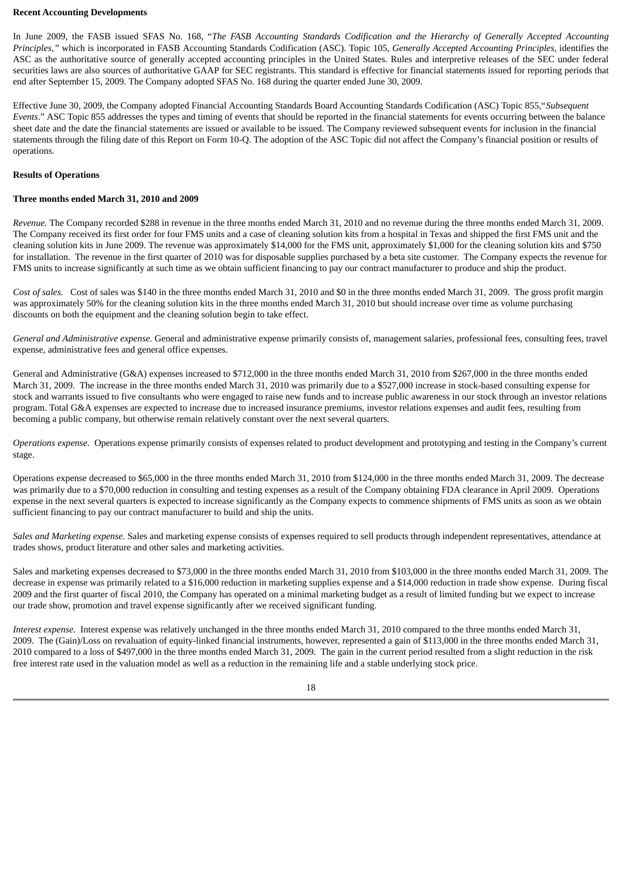#### **Recent Accounting Developments**

In June 2009, the FASB issued SFAS No. 168, "*The FASB Accounting Standards Codification and the Hierarchy of Generally Accepted Accounting Principles,"* which is incorporated in FASB Accounting Standards Codification (ASC). Topic 105, *Generally Accepted Accounting Principles*, identifies the ASC as the authoritative source of generally accepted accounting principles in the United States. Rules and interpretive releases of the SEC under federal securities laws are also sources of authoritative GAAP for SEC registrants. This standard is effective for financial statements issued for reporting periods that end after September 15, 2009. The Company adopted SFAS No. 168 during the quarter ended June 30, 2009.

Effective June 30, 2009, the Company adopted Financial Accounting Standards Board Accounting Standards Codification (ASC) Topic 855,"*Subsequent Events*." ASC Topic 855 addresses the types and timing of events that should be reported in the financial statements for events occurring between the balance sheet date and the date the financial statements are issued or available to be issued. The Company reviewed subsequent events for inclusion in the financial statements through the filing date of this Report on Form 10-Q. The adoption of the ASC Topic did not affect the Company's financial position or results of operations.

#### **Results of Operations**

#### **Three months ended March 31, 2010 and 2009**

*Revenue.* The Company recorded \$288 in revenue in the three months ended March 31, 2010 and no revenue during the three months ended March 31, 2009. The Company received its first order for four FMS units and a case of cleaning solution kits from a hospital in Texas and shipped the first FMS unit and the cleaning solution kits in June 2009. The revenue was approximately \$14,000 for the FMS unit, approximately \$1,000 for the cleaning solution kits and \$750 for installation. The revenue in the first quarter of 2010 was for disposable supplies purchased by a beta site customer. The Company expects the revenue for FMS units to increase significantly at such time as we obtain sufficient financing to pay our contract manufacturer to produce and ship the product.

*Cost of sales.* Cost of sales was \$140 in the three months ended March 31, 2010 and \$0 in the three months ended March 31, 2009. The gross profit margin was approximately 50% for the cleaning solution kits in the three months ended March 31, 2010 but should increase over time as volume purchasing discounts on both the equipment and the cleaning solution begin to take effect.

*General and Administrative expense.* General and administrative expense primarily consists of, management salaries, professional fees, consulting fees, travel expense, administrative fees and general office expenses.

General and Administrative (G&A) expenses increased to \$712,000 in the three months ended March 31, 2010 from \$267,000 in the three months ended March 31, 2009. The increase in the three months ended March 31, 2010 was primarily due to a \$527,000 increase in stock-based consulting expense for stock and warrants issued to five consultants who were engaged to raise new funds and to increase public awareness in our stock through an investor relations program. Total G&A expenses are expected to increase due to increased insurance premiums, investor relations expenses and audit fees, resulting from becoming a public company, but otherwise remain relatively constant over the next several quarters.

*Operations expense.* Operations expense primarily consists of expenses related to product development and prototyping and testing in the Company's current stage.

Operations expense decreased to \$65,000 in the three months ended March 31, 2010 from \$124,000 in the three months ended March 31, 2009. The decrease was primarily due to a \$70,000 reduction in consulting and testing expenses as a result of the Company obtaining FDA clearance in April 2009. Operations expense in the next several quarters is expected to increase significantly as the Company expects to commence shipments of FMS units as soon as we obtain sufficient financing to pay our contract manufacturer to build and ship the units.

*Sales and Marketing expense.* Sales and marketing expense consists of expenses required to sell products through independent representatives, attendance at trades shows, product literature and other sales and marketing activities.

Sales and marketing expenses decreased to \$73,000 in the three months ended March 31, 2010 from \$103,000 in the three months ended March 31, 2009. The decrease in expense was primarily related to a \$16,000 reduction in marketing supplies expense and a \$14,000 reduction in trade show expense. During fiscal 2009 and the first quarter of fiscal 2010, the Company has operated on a minimal marketing budget as a result of limited funding but we expect to increase our trade show, promotion and travel expense significantly after we received significant funding.

*Interest expense*. Interest expense was relatively unchanged in the three months ended March 31, 2010 compared to the three months ended March 31, 2009. The (Gain)/Loss on revaluation of equity-linked financial instruments, however, represented a gain of \$113,000 in the three months ended March 31, 2010 compared to a loss of \$497,000 in the three months ended March 31, 2009. The gain in the current period resulted from a slight reduction in the risk free interest rate used in the valuation model as well as a reduction in the remaining life and a stable underlying stock price.

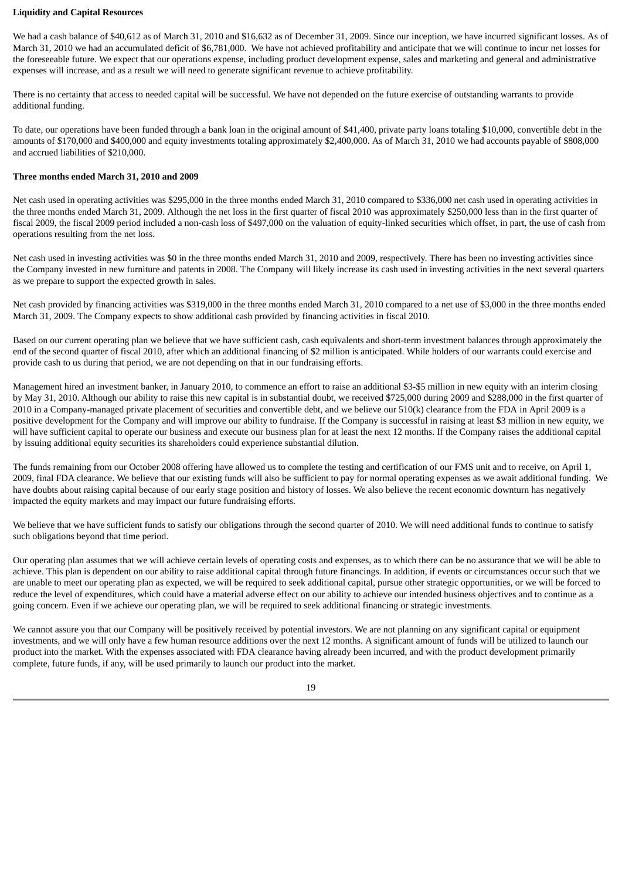#### **Liquidity and Capital Resources**

We had a cash balance of \$40,612 as of March 31, 2010 and \$16,632 as of December 31, 2009. Since our inception, we have incurred significant losses. As of March 31, 2010 we had an accumulated deficit of \$6,781,000. We have not achieved profitability and anticipate that we will continue to incur net losses for the foreseeable future. We expect that our operations expense, including product development expense, sales and marketing and general and administrative expenses will increase, and as a result we will need to generate significant revenue to achieve profitability.

There is no certainty that access to needed capital will be successful. We have not depended on the future exercise of outstanding warrants to provide additional funding.

To date, our operations have been funded through a bank loan in the original amount of \$41,400, private party loans totaling \$10,000, convertible debt in the amounts of \$170,000 and \$400,000 and equity investments totaling approximately \$2,400,000. As of March 31, 2010 we had accounts payable of \$808,000 and accrued liabilities of \$210,000.

### **Three months ended March 31, 2010 and 2009**

Net cash used in operating activities was \$295,000 in the three months ended March 31, 2010 compared to \$336,000 net cash used in operating activities in the three months ended March 31, 2009. Although the net loss in the first quarter of fiscal 2010 was approximately \$250,000 less than in the first quarter of fiscal 2009, the fiscal 2009 period included a non-cash loss of \$497,000 on the valuation of equity-linked securities which offset, in part, the use of cash from operations resulting from the net loss.

Net cash used in investing activities was \$0 in the three months ended March 31, 2010 and 2009, respectively. There has been no investing activities since the Company invested in new furniture and patents in 2008. The Company will likely increase its cash used in investing activities in the next several quarters as we prepare to support the expected growth in sales.

Net cash provided by financing activities was \$319,000 in the three months ended March 31, 2010 compared to a net use of \$3,000 in the three months ended March 31, 2009. The Company expects to show additional cash provided by financing activities in fiscal 2010.

Based on our current operating plan we believe that we have sufficient cash, cash equivalents and short-term investment balances through approximately the end of the second quarter of fiscal 2010, after which an additional financing of \$2 million is anticipated. While holders of our warrants could exercise and provide cash to us during that period, we are not depending on that in our fundraising efforts.

Management hired an investment banker, in January 2010, to commence an effort to raise an additional \$3-\$5 million in new equity with an interim closing by May 31, 2010. Although our ability to raise this new capital is in substantial doubt, we received \$725,000 during 2009 and \$288,000 in the first quarter of 2010 in a Company-managed private placement of securities and convertible debt, and we believe our 510(k) clearance from the FDA in April 2009 is a positive development for the Company and will improve our ability to fundraise. If the Company is successful in raising at least \$3 million in new equity, we will have sufficient capital to operate our business and execute our business plan for at least the next 12 months. If the Company raises the additional capital by issuing additional equity securities its shareholders could experience substantial dilution.

The funds remaining from our October 2008 offering have allowed us to complete the testing and certification of our FMS unit and to receive, on April 1, 2009, final FDA clearance. We believe that our existing funds will also be sufficient to pay for normal operating expenses as we await additional funding. We have doubts about raising capital because of our early stage position and history of losses. We also believe the recent economic downturn has negatively impacted the equity markets and may impact our future fundraising efforts.

We believe that we have sufficient funds to satisfy our obligations through the second quarter of 2010. We will need additional funds to continue to satisfy such obligations beyond that time period.

Our operating plan assumes that we will achieve certain levels of operating costs and expenses, as to which there can be no assurance that we will be able to achieve. This plan is dependent on our ability to raise additional capital through future financings. In addition, if events or circumstances occur such that we are unable to meet our operating plan as expected, we will be required to seek additional capital, pursue other strategic opportunities, or we will be forced to reduce the level of expenditures, which could have a material adverse effect on our ability to achieve our intended business objectives and to continue as a going concern. Even if we achieve our operating plan, we will be required to seek additional financing or strategic investments.

We cannot assure you that our Company will be positively received by potential investors. We are not planning on any significant capital or equipment investments, and we will only have a few human resource additions over the next 12 months. A significant amount of funds will be utilized to launch our product into the market. With the expenses associated with FDA clearance having already been incurred, and with the product development primarily complete, future funds, if any, will be used primarily to launch our product into the market.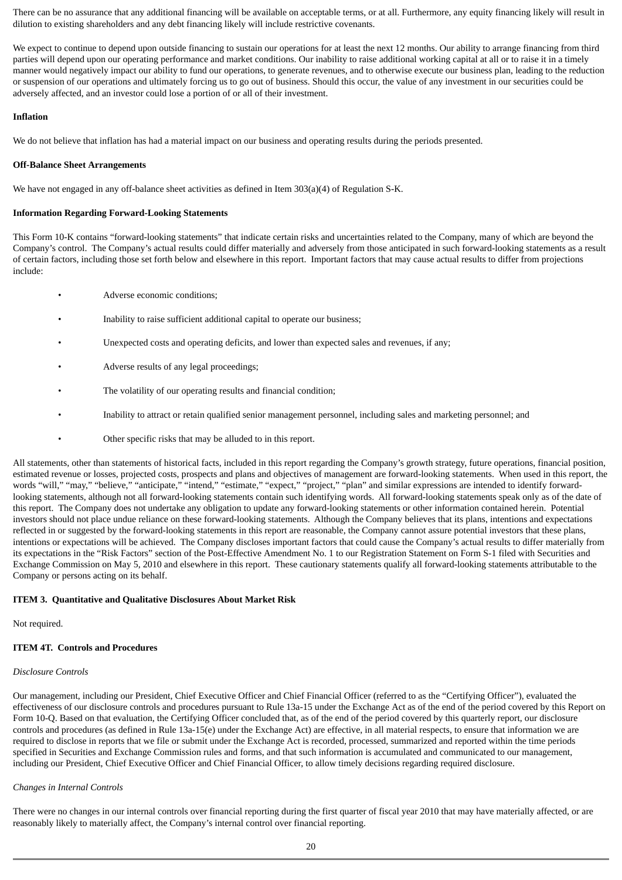There can be no assurance that any additional financing will be available on acceptable terms, or at all. Furthermore, any equity financing likely will result in dilution to existing shareholders and any debt financing likely will include restrictive covenants.

We expect to continue to depend upon outside financing to sustain our operations for at least the next 12 months. Our ability to arrange financing from third parties will depend upon our operating performance and market conditions. Our inability to raise additional working capital at all or to raise it in a timely manner would negatively impact our ability to fund our operations, to generate revenues, and to otherwise execute our business plan, leading to the reduction or suspension of our operations and ultimately forcing us to go out of business. Should this occur, the value of any investment in our securities could be adversely affected, and an investor could lose a portion of or all of their investment.

### **Inflation**

We do not believe that inflation has had a material impact on our business and operating results during the periods presented.

### **Off-Balance Sheet Arrangements**

We have not engaged in any off-balance sheet activities as defined in Item 303(a)(4) of Regulation S-K.

### **Information Regarding Forward-Looking Statements**

This Form 10-K contains "forward-looking statements" that indicate certain risks and uncertainties related to the Company, many of which are beyond the Company's control. The Company's actual results could differ materially and adversely from those anticipated in such forward-looking statements as a result of certain factors, including those set forth below and elsewhere in this report. Important factors that may cause actual results to differ from projections include:

- Adverse economic conditions;
- Inability to raise sufficient additional capital to operate our business;
- Unexpected costs and operating deficits, and lower than expected sales and revenues, if any;
- Adverse results of any legal proceedings;
- The volatility of our operating results and financial condition;
- Inability to attract or retain qualified senior management personnel, including sales and marketing personnel; and
- Other specific risks that may be alluded to in this report.

All statements, other than statements of historical facts, included in this report regarding the Company's growth strategy, future operations, financial position, estimated revenue or losses, projected costs, prospects and plans and objectives of management are forward-looking statements. When used in this report, the words "will," "may," "believe," "anticipate," "intend," "estimate," "expect," "project," "plan" and similar expressions are intended to identify forwardlooking statements, although not all forward-looking statements contain such identifying words. All forward-looking statements speak only as of the date of this report. The Company does not undertake any obligation to update any forward-looking statements or other information contained herein. Potential investors should not place undue reliance on these forward-looking statements. Although the Company believes that its plans, intentions and expectations reflected in or suggested by the forward-looking statements in this report are reasonable, the Company cannot assure potential investors that these plans, intentions or expectations will be achieved. The Company discloses important factors that could cause the Company's actual results to differ materially from its expectations in the "Risk Factors" section of the Post-Effective Amendment No. 1 to our Registration Statement on Form S-1 filed with Securities and Exchange Commission on May 5, 2010 and elsewhere in this report. These cautionary statements qualify all forward-looking statements attributable to the Company or persons acting on its behalf.

### **ITEM 3. Quantitative and Qualitative Disclosures About Market Risk**

Not required.

### **ITEM 4T. Controls and Procedures**

#### *Disclosure Controls*

Our management, including our President, Chief Executive Officer and Chief Financial Officer (referred to as the "Certifying Officer"), evaluated the effectiveness of our disclosure controls and procedures pursuant to Rule 13a-15 under the Exchange Act as of the end of the period covered by this Report on Form 10-Q. Based on that evaluation, the Certifying Officer concluded that, as of the end of the period covered by this quarterly report, our disclosure controls and procedures (as defined in Rule 13a-15(e) under the Exchange Act) are effective, in all material respects, to ensure that information we are required to disclose in reports that we file or submit under the Exchange Act is recorded, processed, summarized and reported within the time periods specified in Securities and Exchange Commission rules and forms, and that such information is accumulated and communicated to our management, including our President, Chief Executive Officer and Chief Financial Officer, to allow timely decisions regarding required disclosure.

#### *Changes in Internal Controls*

There were no changes in our internal controls over financial reporting during the first quarter of fiscal year 2010 that may have materially affected, or are reasonably likely to materially affect, the Company's internal control over financial reporting.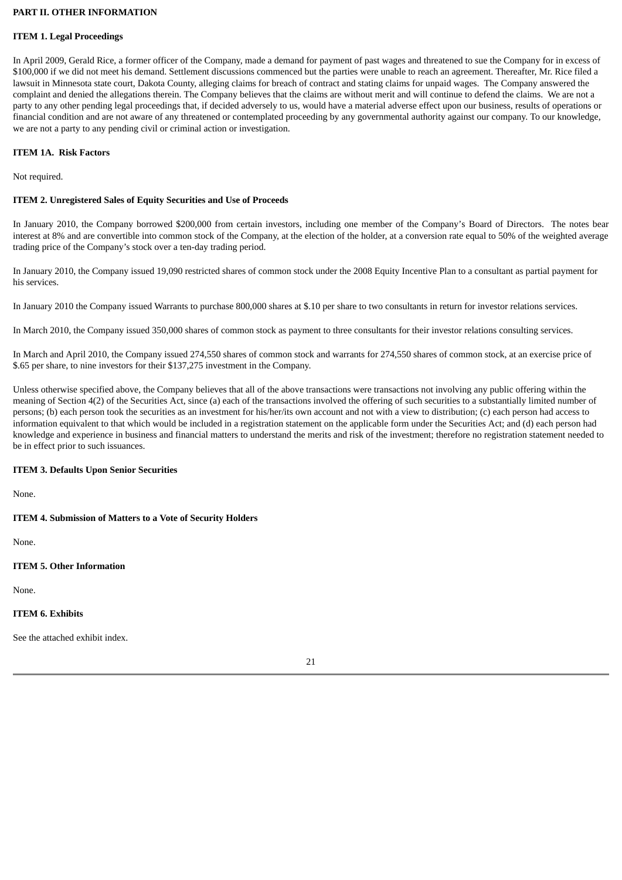### **PART II. OTHER INFORMATION**

### **ITEM 1. Legal Proceedings**

In April 2009, Gerald Rice, a former officer of the Company, made a demand for payment of past wages and threatened to sue the Company for in excess of \$100,000 if we did not meet his demand. Settlement discussions commenced but the parties were unable to reach an agreement. Thereafter, Mr. Rice filed a lawsuit in Minnesota state court, Dakota County, alleging claims for breach of contract and stating claims for unpaid wages. The Company answered the complaint and denied the allegations therein. The Company believes that the claims are without merit and will continue to defend the claims. We are not a party to any other pending legal proceedings that, if decided adversely to us, would have a material adverse effect upon our business, results of operations or financial condition and are not aware of any threatened or contemplated proceeding by any governmental authority against our company. To our knowledge, we are not a party to any pending civil or criminal action or investigation.

### **ITEM 1A. Risk Factors**

Not required.

### **ITEM 2. Unregistered Sales of Equity Securities and Use of Proceeds**

In January 2010, the Company borrowed \$200,000 from certain investors, including one member of the Company's Board of Directors. The notes bear interest at 8% and are convertible into common stock of the Company, at the election of the holder, at a conversion rate equal to 50% of the weighted average trading price of the Company's stock over a ten-day trading period.

In January 2010, the Company issued 19,090 restricted shares of common stock under the 2008 Equity Incentive Plan to a consultant as partial payment for his services.

In January 2010 the Company issued Warrants to purchase 800,000 shares at \$.10 per share to two consultants in return for investor relations services.

In March 2010, the Company issued 350,000 shares of common stock as payment to three consultants for their investor relations consulting services.

In March and April 2010, the Company issued 274,550 shares of common stock and warrants for 274,550 shares of common stock, at an exercise price of \$.65 per share, to nine investors for their \$137,275 investment in the Company.

Unless otherwise specified above, the Company believes that all of the above transactions were transactions not involving any public offering within the meaning of Section 4(2) of the Securities Act, since (a) each of the transactions involved the offering of such securities to a substantially limited number of persons; (b) each person took the securities as an investment for his/her/its own account and not with a view to distribution; (c) each person had access to information equivalent to that which would be included in a registration statement on the applicable form under the Securities Act; and (d) each person had knowledge and experience in business and financial matters to understand the merits and risk of the investment; therefore no registration statement needed to be in effect prior to such issuances.

### **ITEM 3. Defaults Upon Senior Securities**

None.

### **ITEM 4. Submission of Matters to a Vote of Security Holders**

None.

### **ITEM 5. Other Information**

None.

### **ITEM 6. Exhibits**

See the attached exhibit index.

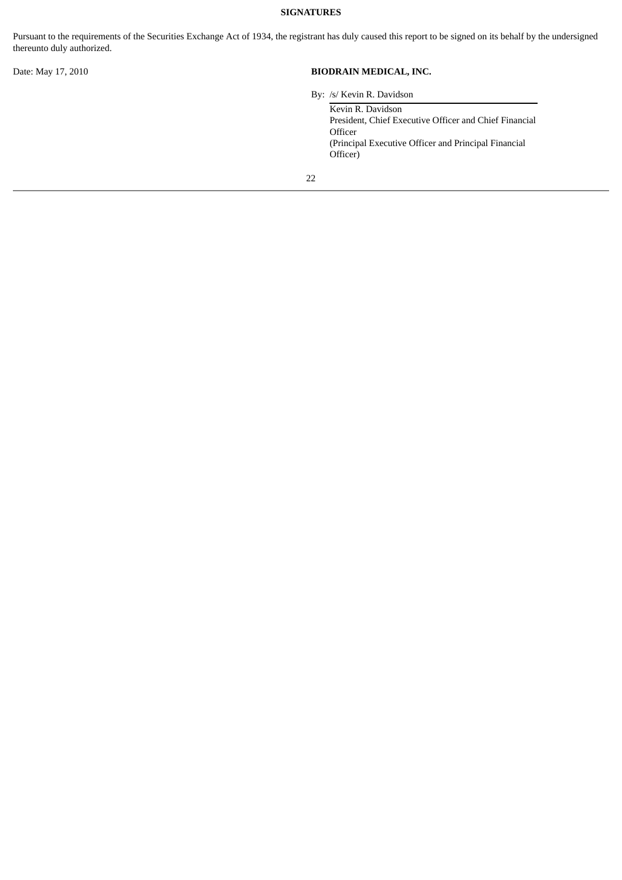# **SIGNATURES**

Pursuant to the requirements of the Securities Exchange Act of 1934, the registrant has duly caused this report to be signed on its behalf by the undersigned thereunto duly authorized.

# Date: May 17, 2010 **BIODRAIN MEDICAL, INC.**

By: /s/ Kevin R. Davidson

| Kevin R. Davidson                                      |
|--------------------------------------------------------|
| President, Chief Executive Officer and Chief Financial |
| Officer                                                |
| (Principal Executive Officer and Principal Financial)  |
| Officer)                                               |
|                                                        |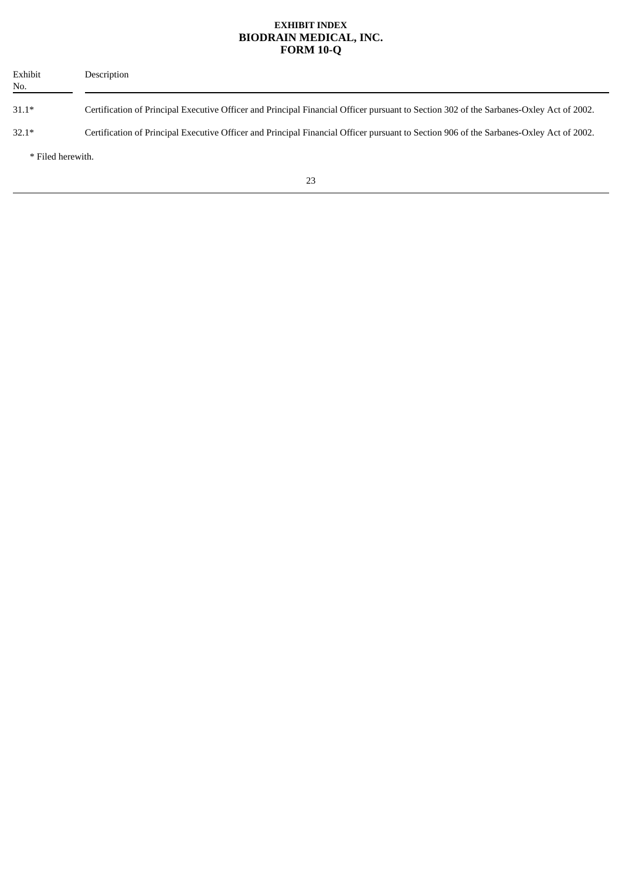# **EXHIBIT INDEX BIODRAIN MEDICAL, INC. FORM 10-Q**

| Exhibit<br>No.    | Description                                                                                                                             |
|-------------------|-----------------------------------------------------------------------------------------------------------------------------------------|
| $31.1*$           | Certification of Principal Executive Officer and Principal Financial Officer pursuant to Section 302 of the Sarbanes-Oxley Act of 2002. |
| $32.1*$           | Certification of Principal Executive Officer and Principal Financial Officer pursuant to Section 906 of the Sarbanes-Oxley Act of 2002. |
| * Filed herewith. |                                                                                                                                         |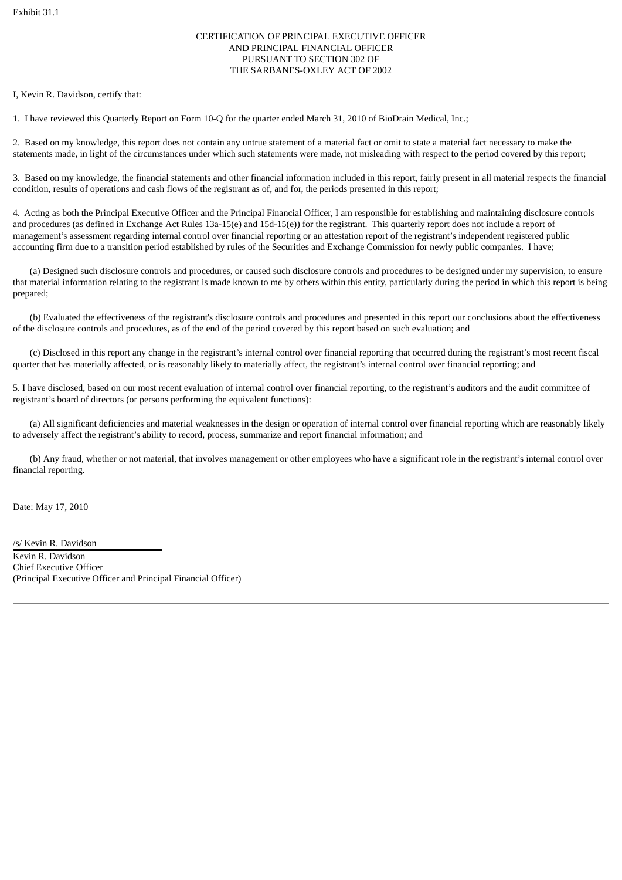### CERTIFICATION OF PRINCIPAL EXECUTIVE OFFICER AND PRINCIPAL FINANCIAL OFFICER PURSUANT TO SECTION 302 OF THE SARBANES-OXLEY ACT OF 2002

I, Kevin R. Davidson, certify that:

1. I have reviewed this Quarterly Report on Form 10-Q for the quarter ended March 31, 2010 of BioDrain Medical, Inc.;

2. Based on my knowledge, this report does not contain any untrue statement of a material fact or omit to state a material fact necessary to make the statements made, in light of the circumstances under which such statements were made, not misleading with respect to the period covered by this report;

3. Based on my knowledge, the financial statements and other financial information included in this report, fairly present in all material respects the financial condition, results of operations and cash flows of the registrant as of, and for, the periods presented in this report;

4. Acting as both the Principal Executive Officer and the Principal Financial Officer, I am responsible for establishing and maintaining disclosure controls and procedures (as defined in Exchange Act Rules 13a-15(e) and 15d-15(e)) for the registrant. This quarterly report does not include a report of management's assessment regarding internal control over financial reporting or an attestation report of the registrant's independent registered public accounting firm due to a transition period established by rules of the Securities and Exchange Commission for newly public companies. I have;

(a) Designed such disclosure controls and procedures, or caused such disclosure controls and procedures to be designed under my supervision, to ensure that material information relating to the registrant is made known to me by others within this entity, particularly during the period in which this report is being prepared;

(b) Evaluated the effectiveness of the registrant's disclosure controls and procedures and presented in this report our conclusions about the effectiveness of the disclosure controls and procedures, as of the end of the period covered by this report based on such evaluation; and

(c) Disclosed in this report any change in the registrant's internal control over financial reporting that occurred during the registrant's most recent fiscal quarter that has materially affected, or is reasonably likely to materially affect, the registrant's internal control over financial reporting; and

5. I have disclosed, based on our most recent evaluation of internal control over financial reporting, to the registrant's auditors and the audit committee of registrant's board of directors (or persons performing the equivalent functions):

(a) All significant deficiencies and material weaknesses in the design or operation of internal control over financial reporting which are reasonably likely to adversely affect the registrant's ability to record, process, summarize and report financial information; and

(b) Any fraud, whether or not material, that involves management or other employees who have a significant role in the registrant's internal control over financial reporting.

Date: May 17, 2010

/s/ Kevin R. Davidson Kevin R. Davidson Chief Executive Officer (Principal Executive Officer and Principal Financial Officer)